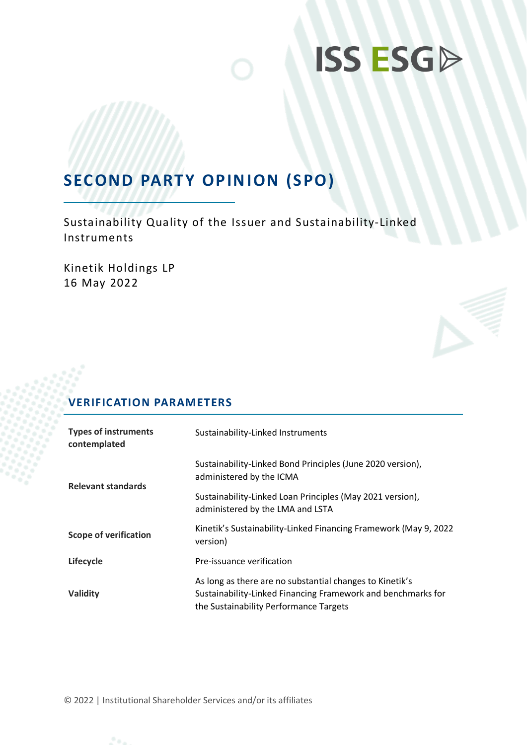# **ISS ESGP**

### **SECOND PARTY OPINION (SPO)**

Sustainability Quality of the Issuer and Sustainability-Linked Instruments

Kinetik Holdings LP 16 May 2022



| <b>Types of instruments</b><br>contemplated | Sustainability-Linked Instruments                                                                                                                                  |
|---------------------------------------------|--------------------------------------------------------------------------------------------------------------------------------------------------------------------|
| <b>Relevant standards</b>                   | Sustainability-Linked Bond Principles (June 2020 version),<br>administered by the ICMA                                                                             |
|                                             | Sustainability-Linked Loan Principles (May 2021 version),<br>administered by the LMA and LSTA                                                                      |
| <b>Scope of verification</b>                | Kinetik's Sustainability-Linked Financing Framework (May 9, 2022<br>version)                                                                                       |
| Lifecycle                                   | Pre-issuance verification                                                                                                                                          |
| Validity                                    | As long as there are no substantial changes to Kinetik's<br>Sustainability-Linked Financing Framework and benchmarks for<br>the Sustainability Performance Targets |

© 2022 | Institutional Shareholder Services and/or its affiliates

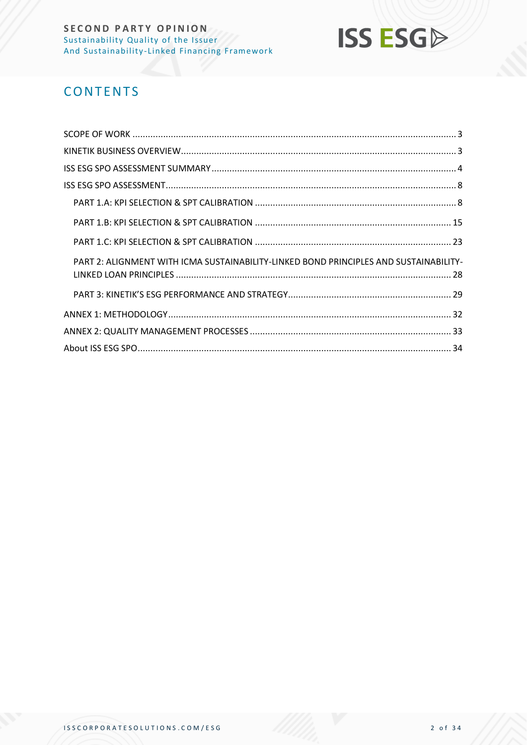

### **CONTENTS**

| PART 2: ALIGNMENT WITH ICMA SUSTAINABILITY-LINKED BOND PRINCIPLES AND SUSTAINABILITY- |
|---------------------------------------------------------------------------------------|
|                                                                                       |
|                                                                                       |
|                                                                                       |
|                                                                                       |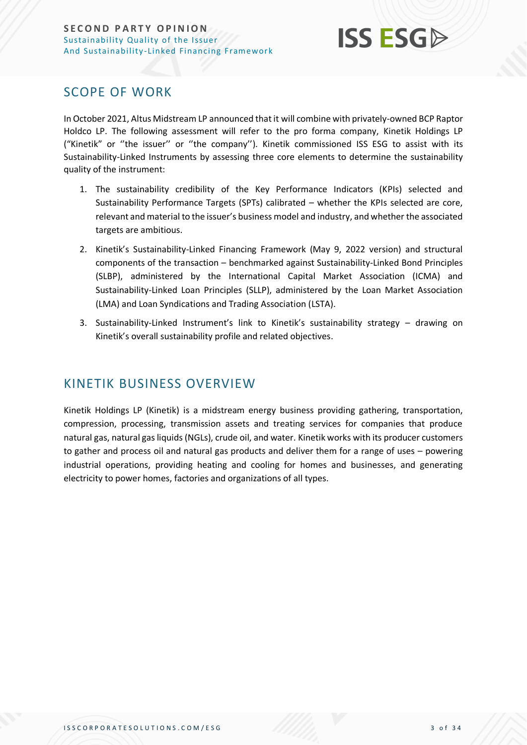

### <span id="page-2-0"></span>SCOPE OF WORK

In October 2021, Altus Midstream LP announced that it will combine with privately-owned BCP Raptor Holdco LP. The following assessment will refer to the pro forma company, Kinetik Holdings LP ("Kinetik" or ''the issuer'' or ''the company''). Kinetik commissioned ISS ESG to assist with its Sustainability-Linked Instruments by assessing three core elements to determine the sustainability quality of the instrument:

- 1. The sustainability credibility of the Key Performance Indicators (KPIs) selected and Sustainability Performance Targets (SPTs) calibrated – whether the KPIs selected are core, relevant and material to the issuer's business model and industry, and whether the associated targets are ambitious.
- 2. Kinetik's Sustainability-Linked Financing Framework (May 9, 2022 version) and structural components of the transaction – benchmarked against Sustainability-Linked Bond Principles (SLBP), administered by the International Capital Market Association (ICMA) and Sustainability-Linked Loan Principles (SLLP), administered by the Loan Market Association (LMA) and Loan Syndications and Trading Association (LSTA).
- 3. Sustainability-Linked Instrument's link to Kinetik's sustainability strategy drawing on Kinetik's overall sustainability profile and related objectives.

### <span id="page-2-1"></span>KINETIK BUSINESS OVERVIEW

Kinetik Holdings LP (Kinetik) is a midstream energy business providing gathering, transportation, compression, processing, transmission assets and treating services for companies that produce natural gas, natural gas liquids (NGLs), crude oil, and water. Kinetik works with its producer customers to gather and process oil and natural gas products and deliver them for a range of uses – powering industrial operations, providing heating and cooling for homes and businesses, and generating electricity to power homes, factories and organizations of all types.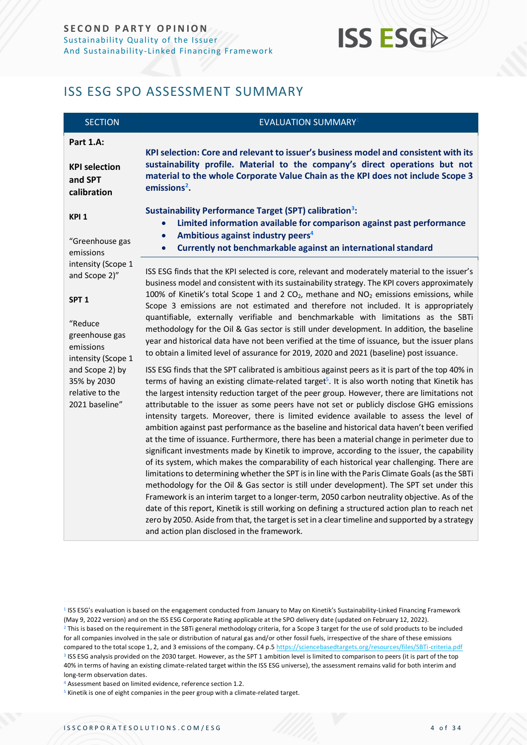## **ISS ESG**

### <span id="page-3-0"></span>ISS ESG SPO ASSESSMENT SUMMARY

| <b>SECTION</b>                                                      | <b>EVALUATION SUMMARY</b> <sup>1</sup>                                                                                                                                                                                                                                                                                                                                                                                                                                                                                                                                                                                                                                                                                                                                                                                                                                                                                                                                                                                                                                                                                                                                                                                                                                                                                                                                                                                                                |  |  |  |
|---------------------------------------------------------------------|-------------------------------------------------------------------------------------------------------------------------------------------------------------------------------------------------------------------------------------------------------------------------------------------------------------------------------------------------------------------------------------------------------------------------------------------------------------------------------------------------------------------------------------------------------------------------------------------------------------------------------------------------------------------------------------------------------------------------------------------------------------------------------------------------------------------------------------------------------------------------------------------------------------------------------------------------------------------------------------------------------------------------------------------------------------------------------------------------------------------------------------------------------------------------------------------------------------------------------------------------------------------------------------------------------------------------------------------------------------------------------------------------------------------------------------------------------|--|--|--|
| Part 1.A:                                                           | KPI selection: Core and relevant to issuer's business model and consistent with its                                                                                                                                                                                                                                                                                                                                                                                                                                                                                                                                                                                                                                                                                                                                                                                                                                                                                                                                                                                                                                                                                                                                                                                                                                                                                                                                                                   |  |  |  |
| <b>KPI selection</b><br>and SPT<br>calibration                      | sustainability profile. Material to the company's direct operations but not<br>material to the whole Corporate Value Chain as the KPI does not include Scope 3<br>$emissions2$ .                                                                                                                                                                                                                                                                                                                                                                                                                                                                                                                                                                                                                                                                                                                                                                                                                                                                                                                                                                                                                                                                                                                                                                                                                                                                      |  |  |  |
| KPI <sub>1</sub>                                                    | Sustainability Performance Target (SPT) calibration <sup>3</sup> :<br>Limited information available for comparison against past performance<br>$\bullet$                                                                                                                                                                                                                                                                                                                                                                                                                                                                                                                                                                                                                                                                                                                                                                                                                                                                                                                                                                                                                                                                                                                                                                                                                                                                                              |  |  |  |
| "Greenhouse gas<br>emissions                                        | Ambitious against industry peers <sup>4</sup><br>$\bullet$<br>Currently not benchmarkable against an international standard<br>$\bullet$                                                                                                                                                                                                                                                                                                                                                                                                                                                                                                                                                                                                                                                                                                                                                                                                                                                                                                                                                                                                                                                                                                                                                                                                                                                                                                              |  |  |  |
| intensity (Scope 1<br>and Scope 2)"                                 | ISS ESG finds that the KPI selected is core, relevant and moderately material to the issuer's<br>business model and consistent with its sustainability strategy. The KPI covers approximately                                                                                                                                                                                                                                                                                                                                                                                                                                                                                                                                                                                                                                                                                                                                                                                                                                                                                                                                                                                                                                                                                                                                                                                                                                                         |  |  |  |
| SPT <sub>1</sub>                                                    | 100% of Kinetik's total Scope 1 and 2 $CO2$ , methane and $NO2$ emissions emissions, while<br>Scope 3 emissions are not estimated and therefore not included. It is appropriately                                                                                                                                                                                                                                                                                                                                                                                                                                                                                                                                                                                                                                                                                                                                                                                                                                                                                                                                                                                                                                                                                                                                                                                                                                                                     |  |  |  |
| "Reduce<br>greenhouse gas<br>emissions<br>intensity (Scope 1        | quantifiable, externally verifiable and benchmarkable with limitations as the SBTi<br>methodology for the Oil & Gas sector is still under development. In addition, the baseline<br>year and historical data have not been verified at the time of issuance, but the issuer plans<br>to obtain a limited level of assurance for 2019, 2020 and 2021 (baseline) post issuance.                                                                                                                                                                                                                                                                                                                                                                                                                                                                                                                                                                                                                                                                                                                                                                                                                                                                                                                                                                                                                                                                         |  |  |  |
| and Scope 2) by<br>35% by 2030<br>relative to the<br>2021 baseline" | ISS ESG finds that the SPT calibrated is ambitious against peers as it is part of the top 40% in<br>terms of having an existing climate-related target <sup>5</sup> . It is also worth noting that Kinetik has<br>the largest intensity reduction target of the peer group. However, there are limitations not<br>attributable to the issuer as some peers have not set or publicly disclose GHG emissions<br>intensity targets. Moreover, there is limited evidence available to assess the level of<br>ambition against past performance as the baseline and historical data haven't been verified<br>at the time of issuance. Furthermore, there has been a material change in perimeter due to<br>significant investments made by Kinetik to improve, according to the issuer, the capability<br>of its system, which makes the comparability of each historical year challenging. There are<br>limitations to determining whether the SPT is in line with the Paris Climate Goals (as the SBTi<br>methodology for the Oil & Gas sector is still under development). The SPT set under this<br>Framework is an interim target to a longer-term, 2050 carbon neutrality objective. As of the<br>date of this report, Kinetik is still working on defining a structured action plan to reach net<br>zero by 2050. Aside from that, the target is set in a clear timeline and supported by a strategy<br>and action plan disclosed in the framework. |  |  |  |

<sup>&</sup>lt;sup>1</sup> ISS ESG's evaluation is based on the engagement conducted from January to May on Kinetik's Sustainability-Linked Financing Framework (May 9, 2022 version) and on the ISS ESG Corporate Rating applicable at the SPO delivery date (updated on February 12, 2022).  $<sup>2</sup>$  This is based on the requirement in the SBTi general methodology criteria, for a Scope 3 target for the use of sold products to be included</sup> for all companies involved in the sale or distribution of natural gas and/or other fossil fuels, irrespective of the share of these emissions compared to the total scope 1, 2, and 3 emissions of the company. C4 p.5 <https://sciencebasedtargets.org/resources/files/SBTi-criteria.pdf> <sup>3</sup> ISS ESG analysis provided on the 2030 target. However, as the SPT 1 ambition level is limited to comparison to peers (it is part of the top 40% in terms of having an existing climate-related target within the ISS ESG universe), the assessment remains valid for both interim and long-term observation dates.

<sup>4</sup> Assessment based on limited evidence, reference section 1.2.

<sup>5</sup> Kinetik is one of eight companies in the peer group with a climate-related target.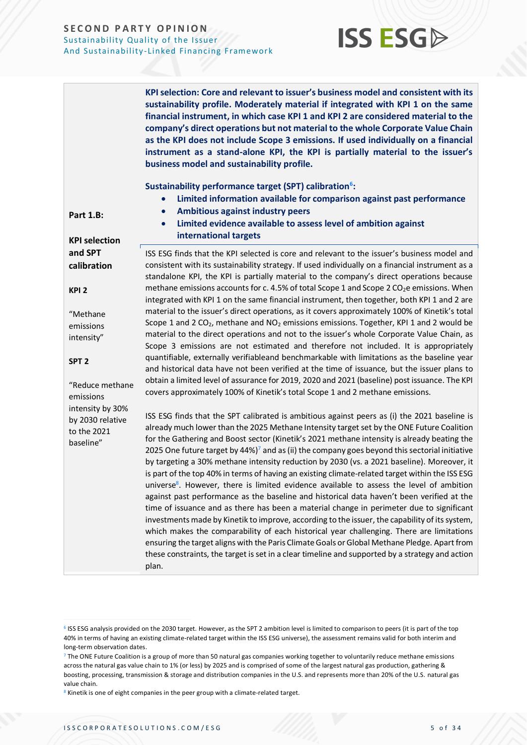

**ISS ESG** 

<sup>&</sup>lt;sup>6</sup> ISS ESG analysis provided on the 2030 target. However, as the SPT 2 ambition level is limited to comparison to peers (it is part of the top 40% in terms of having an existing climate-related target within the ISS ESG universe), the assessment remains valid for both interim and long-term observation dates.

<sup>&</sup>lt;sup>7</sup> The ONE Future Coalition is a group of more than 50 natural gas companies working together to voluntarily reduce methane emissions across the natural gas value chain to 1% (or less) by 2025 and is comprised of some of the largest natural gas production, gathering & boosting, processing, transmission & storage and distribution companies in the U.S. and represents more than 20% of the U.S. natural gas value chain.

<sup>&</sup>lt;sup>8</sup> Kinetik is one of eight companies in the peer group with a climate-related target.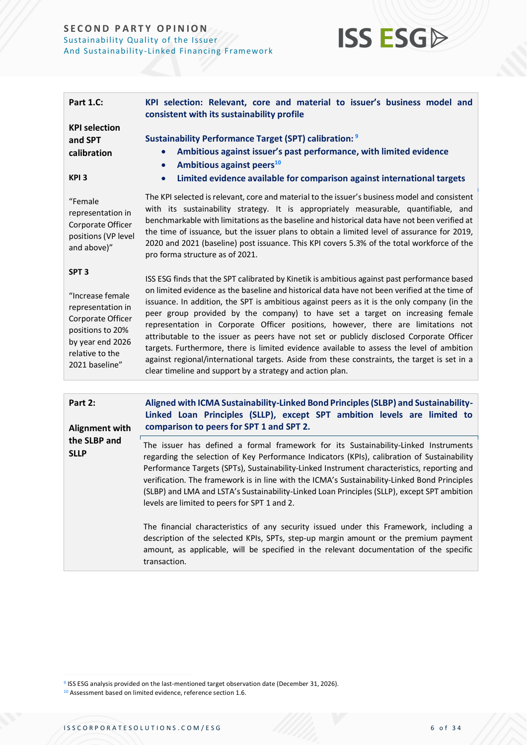

| <b>Part 1.C:</b><br><b>KPI selection</b><br>and SPT<br>calibration<br>KPI <sub>3</sub>                                                                      | KPI selection: Relevant, core and material to issuer's business model and<br>consistent with its sustainability profile<br><b>Sustainability Performance Target (SPT) calibration: 9</b><br>Ambitious against issuer's past performance, with limited evidence<br>Ambitious against peers <sup>10</sup><br>$\bullet$<br>Limited evidence available for comparison against international targets<br>$\bullet$                                                                                                                                                                                                                                                                                                                                                                                                             |
|-------------------------------------------------------------------------------------------------------------------------------------------------------------|--------------------------------------------------------------------------------------------------------------------------------------------------------------------------------------------------------------------------------------------------------------------------------------------------------------------------------------------------------------------------------------------------------------------------------------------------------------------------------------------------------------------------------------------------------------------------------------------------------------------------------------------------------------------------------------------------------------------------------------------------------------------------------------------------------------------------|
| "Female<br>representation in<br>Corporate Officer<br>positions (VP level<br>and above)"                                                                     | The KPI selected is relevant, core and material to the issuer's business model and consistent<br>with its sustainability strategy. It is appropriately measurable, quantifiable, and<br>benchmarkable with limitations as the baseline and historical data have not been verified at<br>the time of issuance, but the issuer plans to obtain a limited level of assurance for 2019,<br>2020 and 2021 (baseline) post issuance. This KPI covers 5.3% of the total workforce of the<br>pro forma structure as of 2021.                                                                                                                                                                                                                                                                                                     |
| SPT <sub>3</sub><br>"Increase female<br>representation in<br>Corporate Officer<br>positions to 20%<br>by year end 2026<br>relative to the<br>2021 baseline" | ISS ESG finds that the SPT calibrated by Kinetik is ambitious against past performance based<br>on limited evidence as the baseline and historical data have not been verified at the time of<br>issuance. In addition, the SPT is ambitious against peers as it is the only company (in the<br>peer group provided by the company) to have set a target on increasing female<br>representation in Corporate Officer positions, however, there are limitations not<br>attributable to the issuer as peers have not set or publicly disclosed Corporate Officer<br>targets. Furthermore, there is limited evidence available to assess the level of ambition<br>against regional/international targets. Aside from these constraints, the target is set in a<br>clear timeline and support by a strategy and action plan. |
| Part 2:<br><b>Alignment with</b>                                                                                                                            | Aligned with ICMA Sustainability-Linked Bond Principles (SLBP) and Sustainability-<br>Linked Loan Principles (SLLP), except SPT ambition levels are limited to<br>comparison to peers for SPT 1 and SPT 2.                                                                                                                                                                                                                                                                                                                                                                                                                                                                                                                                                                                                               |
| the SLBP and<br><b>SLLP</b>                                                                                                                                 | The issuer has defined a formal framework for its Sustainability-Linked Instruments<br>regarding the selection of Key Performance Indicators (KPIs), calibration of Sustainability<br>Performance Targets (SPTs), Sustainability-Linked Instrument characteristics, reporting and<br>verification. The framework is in line with the ICMA's Sustainability-Linked Bond Principles<br>(SLBP) and LMA and LSTA's Sustainability-Linked Loan Principles (SLLP), except SPT ambition<br>levels are limited to peers for SPT 1 and 2.                                                                                                                                                                                                                                                                                         |
|                                                                                                                                                             | The financial characteristics of any security issued under this Framework, including a<br>description of the selected KPIs, SPTs, step-up margin amount or the premium payment<br>amount, as applicable, will be specified in the relevant documentation of the specific<br>transaction.                                                                                                                                                                                                                                                                                                                                                                                                                                                                                                                                 |

<sup>&</sup>lt;sup>9</sup> ISS ESG analysis provided on the last-mentioned target observation date (December 31, 2026).

<sup>&</sup>lt;sup>10</sup> Assessment based on limited evidence, reference section 1.6.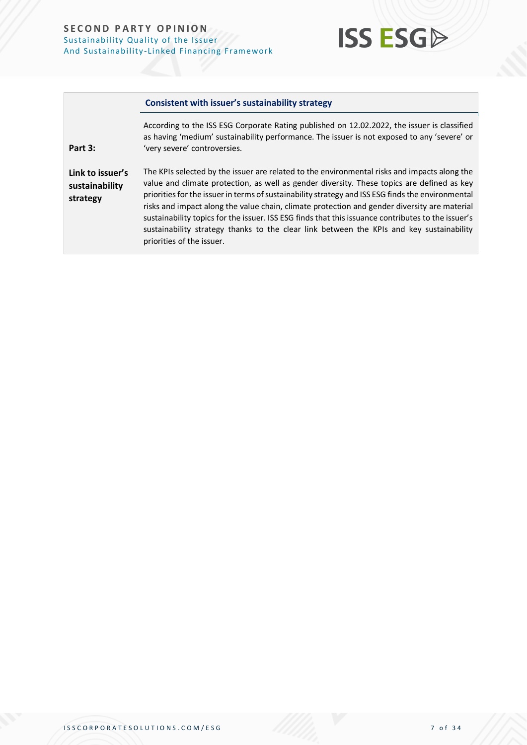**Part 3:**



#### **Consistent with issuer's sustainability strategy**

According to the ISS ESG Corporate Rating published on 12.02.2022, the issuer is classified as having 'medium' sustainability performance. The issuer is not exposed to any 'severe' or 'very severe' controversies.

**Link to issuer's sustainability strategy** The KPIs selected by the issuer are related to the environmental risks and impacts along the value and climate protection, as well as gender diversity. These topics are defined as key priorities for the issuer in terms of sustainability strategy and ISS ESG finds the environmental risks and impact along the value chain, climate protection and gender diversity are material sustainability topics for the issuer. ISS ESG finds that this issuance contributes to the issuer's sustainability strategy thanks to the clear link between the KPIs and key sustainability priorities of the issuer.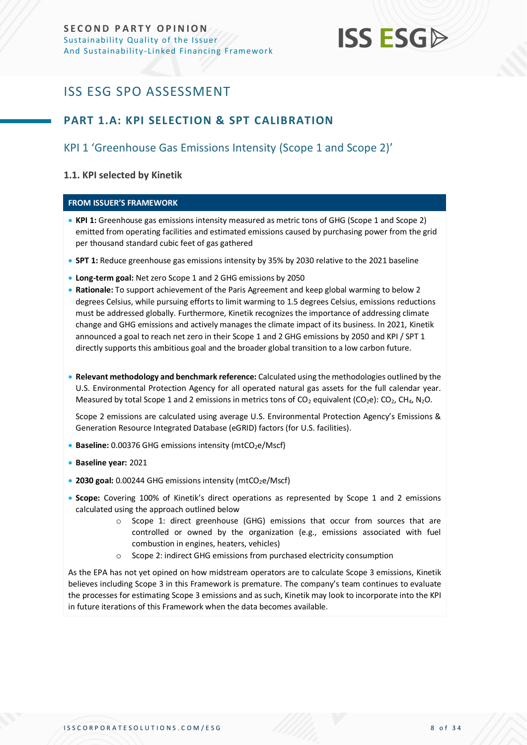

### <span id="page-7-0"></span>ISS ESG SPO ASSESSMENT

### <span id="page-7-1"></span>**PART 1.A: KPI SELECTION & SPT CALIBRATION**

### KPI 1 'Greenhouse Gas Emissions Intensity (Scope 1 and Scope 2)'

### **1.1. KPI selected by Kinetik**

### **FROM ISSUER'S FRAMEWORK**

- **KPI 1:** Greenhouse gas emissions intensity measured as metric tons of GHG (Scope 1 and Scope 2) emitted from operating facilities and estimated emissions caused by purchasing power from the grid per thousand standard cubic feet of gas gathered
- **SPT 1:** Reduce greenhouse gas emissions intensity by 35% by 2030 relative to the 2021 baseline
- **Long-term goal:** Net zero Scope 1 and 2 GHG emissions by 2050
- **Rationale:** To support achievement of the Paris Agreement and keep global warming to below 2 degrees Celsius, while pursuing efforts to limit warming to 1.5 degrees Celsius, emissions reductions must be addressed globally. Furthermore, Kinetik recognizes the importance of addressing climate change and GHG emissions and actively manages the climate impact of its business. In 2021, Kinetik announced a goal to reach net zero in their Scope 1 and 2 GHG emissions by 2050 and KPI / SPT 1 directly supports this ambitious goal and the broader global transition to a low carbon future.
- **Relevant methodology and benchmark reference:** Calculated using the methodologies outlined by the U.S. Environmental Protection Agency for all operated natural gas assets for the full calendar year. Measured by total Scope 1 and 2 emissions in metrics tons of  $CO<sub>2</sub>$  equivalent (CO<sub>2</sub>e): CO<sub>2</sub>, CH<sub>4</sub>, N<sub>2</sub>O.

Scope 2 emissions are calculated using average U.S. Environmental Protection Agency's Emissions & Generation Resource Integrated Database (eGRID) factors (for U.S. facilities).

- **Baseline:** 0.00376 GHG emissions intensity (mtCO<sub>2</sub>e/Mscf)
- **Baseline year:** 2021
- 2030 goal: 0.00244 GHG emissions intensity (mtCO<sub>2</sub>e/Mscf)
- **Scope:** Covering 100% of Kinetik's direct operations as represented by Scope 1 and 2 emissions calculated using the approach outlined below
	- o Scope 1: direct greenhouse (GHG) emissions that occur from sources that are controlled or owned by the organization (e.g., emissions associated with fuel combustion in engines, heaters, vehicles)
	- o Scope 2: indirect GHG emissions from purchased electricity consumption

As the EPA has not yet opined on how midstream operators are to calculate Scope 3 emissions, Kinetik believes including Scope 3 in this Framework is premature. The company's team continues to evaluate the processes for estimating Scope 3 emissions and as such, Kinetik may look to incorporate into the KPI in future iterations of this Framework when the data becomes available.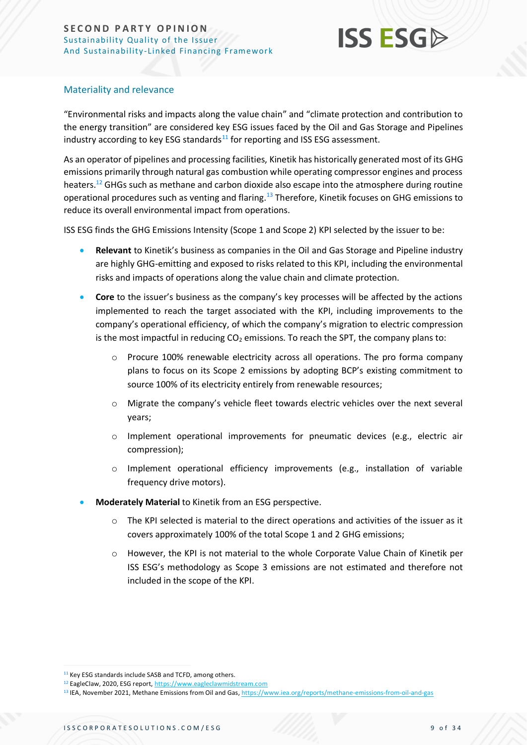

### Materiality and relevance

"Environmental risks and impacts along the value chain" and "climate protection and contribution to the energy transition" are considered key ESG issues faced by the Oil and Gas Storage and Pipelines industry according to key ESG standards $11$  for reporting and ISS ESG assessment.

As an operator of pipelines and processing facilities, Kinetik has historically generated most of its GHG emissions primarily through natural gas combustion while operating compressor engines and process heaters.<sup>12</sup> GHGs such as methane and carbon dioxide also escape into the atmosphere during routine operational procedures such as venting and flaring.<sup>13</sup> Therefore, Kinetik focuses on GHG emissions to reduce its overall environmental impact from operations.

ISS ESG finds the GHG Emissions Intensity (Scope 1 and Scope 2) KPI selected by the issuer to be:

- **Relevant** to Kinetik's business as companies in the Oil and Gas Storage and Pipeline industry are highly GHG-emitting and exposed to risks related to this KPI, including the environmental risks and impacts of operations along the value chain and climate protection.
- **Core** to the issuer's business as the company's key processes will be affected by the actions implemented to reach the target associated with the KPI, including improvements to the company's operational efficiency, of which the company's migration to electric compression is the most impactful in reducing  $CO<sub>2</sub>$  emissions. To reach the SPT, the company plans to:
	- o Procure 100% renewable electricity across all operations. The pro forma company plans to focus on its Scope 2 emissions by adopting BCP's existing commitment to source 100% of its electricity entirely from renewable resources;
	- o Migrate the company's vehicle fleet towards electric vehicles over the next several years;
	- o Implement operational improvements for pneumatic devices (e.g., electric air compression);
	- o Implement operational efficiency improvements (e.g., installation of variable frequency drive motors).
- **Moderately Material** to Kinetik from an ESG perspective.
	- o The KPI selected is material to the direct operations and activities of the issuer as it covers approximately 100% of the total Scope 1 and 2 GHG emissions;
	- o However, the KPI is not material to the whole Corporate Value Chain of Kinetik per ISS ESG's methodology as Scope 3 emissions are not estimated and therefore not included in the scope of the KPI.

<sup>&</sup>lt;sup>11</sup> Key ESG standards include SASB and TCFD, among others.

<sup>12</sup> EagleClaw, 2020, ESG report[, https://www.eagleclawmidstream.com](https://www.eagleclawmidstream.com/)

<sup>13</sup> IEA, November 2021, Methane Emissions from Oil and Gas[, https://www.iea.org/reports/methane-emissions-from-oil-and-gas](https://www.iea.org/reports/methane-emissions-from-oil-and-gas)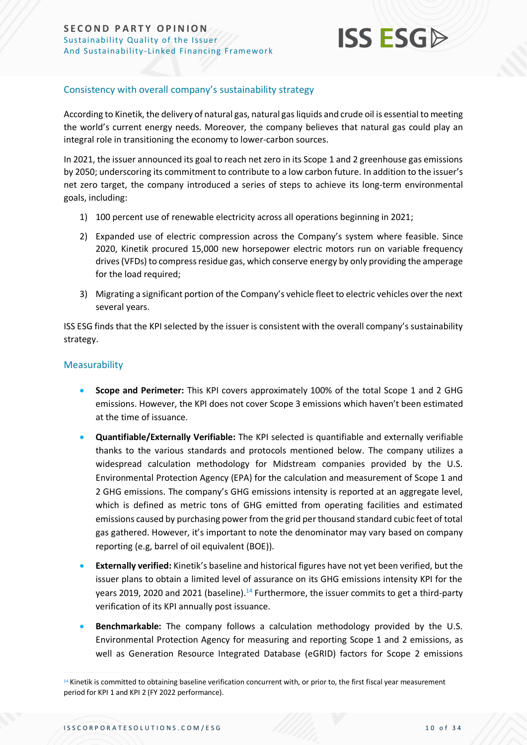

### Consistency with overall company's sustainability strategy

According to Kinetik, the delivery of natural gas, natural gas liquids and crude oil is essential to meeting the world's current energy needs. Moreover, the company believes that natural gas could play an integral role in transitioning the economy to lower-carbon sources.

In 2021, the issuer announced its goal to reach net zero in its Scope 1 and 2 greenhouse gas emissions by 2050; underscoring its commitment to contribute to a low carbon future. In addition to the issuer's net zero target, the company introduced a series of steps to achieve its long-term environmental goals, including:

- 1) 100 percent use of renewable electricity across all operations beginning in 2021;
- 2) Expanded use of electric compression across the Company's system where feasible. Since 2020, Kinetik procured 15,000 new horsepower electric motors run on variable frequency drives (VFDs) to compress residue gas, which conserve energy by only providing the amperage for the load required;
- 3) Migrating a significant portion of the Company's vehicle fleet to electric vehicles over the next several years.

ISS ESG finds that the KPI selected by the issuer is consistent with the overall company's sustainability strategy.

### Measurability

- **Scope and Perimeter:** This KPI covers approximately 100% of the total Scope 1 and 2 GHG emissions. However, the KPI does not cover Scope 3 emissions which haven't been estimated at the time of issuance.
- **Quantifiable/Externally Verifiable:** The KPI selected is quantifiable and externally verifiable thanks to the various standards and protocols mentioned below. The company utilizes a widespread calculation methodology for Midstream companies provided by the U.S. Environmental Protection Agency (EPA) for the calculation and measurement of Scope 1 and 2 GHG emissions. The company's GHG emissions intensity is reported at an aggregate level, which is defined as metric tons of GHG emitted from operating facilities and estimated emissions caused by purchasing power from the grid per thousand standard cubic feet of total gas gathered. However, it's important to note the denominator may vary based on company reporting (e.g, barrel of oil equivalent (BOE)).
- **Externally verified:** Kinetik's baseline and historical figures have not yet been verified, but the issuer plans to obtain a limited level of assurance on its GHG emissions intensity KPI for the years 2019, 2020 and 2021 (baseline).<sup>14</sup> Furthermore, the issuer commits to get a third-party verification of its KPI annually post issuance.
- **Benchmarkable:** The company follows a calculation methodology provided by the U.S. Environmental Protection Agency for measuring and reporting Scope 1 and 2 emissions, as well as Generation Resource Integrated Database (eGRID) factors for Scope 2 emissions

<sup>14</sup> Kinetik is committed to obtaining baseline verification concurrent with, or prior to, the first fiscal year measurement period for KPI 1 and KPI 2 (FY 2022 performance).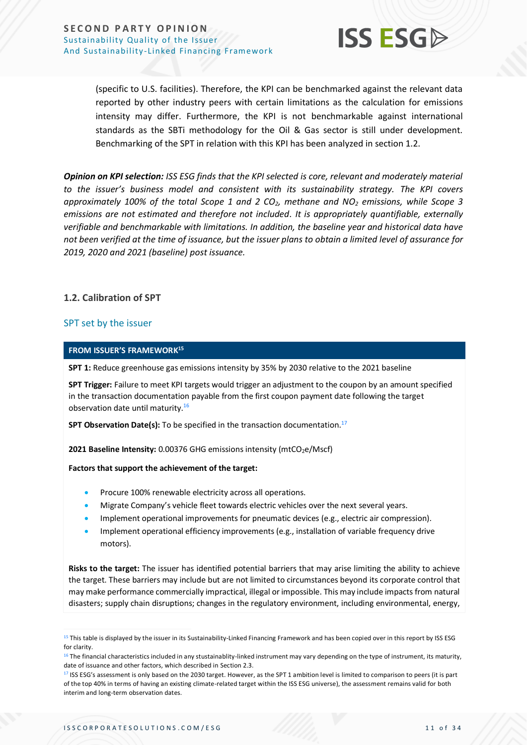

(specific to U.S. facilities). Therefore, the KPI can be benchmarked against the relevant data reported by other industry peers with certain limitations as the calculation for emissions intensity may differ. Furthermore, the KPI is not benchmarkable against international standards as the SBTi methodology for the Oil & Gas sector is still under development. Benchmarking of the SPT in relation with this KPI has been analyzed in section 1.2.

*Opinion on KPI selection: ISS ESG finds that the KPI selected is core, relevant and moderately material to the issuer's business model and consistent with its sustainability strategy. The KPI covers approximately 100% of the total Scope 1 and 2 CO2, methane and NO<sup>2</sup> emissions, while Scope 3 emissions are not estimated and therefore not included. It is appropriately quantifiable, externally verifiable and benchmarkable with limitations. In addition, the baseline year and historical data have not been verified at the time of issuance, but the issuer plans to obtain a limited level of assurance for 2019, 2020 and 2021 (baseline) post issuance.* 

### **1.2. Calibration of SPT**

### SPT set by the issuer

#### **FROM ISSUER'S FRAMEWORK 15**

**SPT 1:** Reduce greenhouse gas emissions intensity by 35% by 2030 relative to the 2021 baseline

**SPT Trigger:** Failure to meet KPI targets would trigger an adjustment to the coupon by an amount specified in the transaction documentation payable from the first coupon payment date following the target observation date until maturity.<sup>16</sup>

**SPT Observation Date(s):** To be specified in the transaction documentation. 17

**2021 Baseline Intensity:** 0.00376 GHG emissions intensity (mtCO<sub>2</sub>e/Mscf)

#### **Factors that support the achievement of the target:**

- Procure 100% renewable electricity across all operations.
- Migrate Company's vehicle fleet towards electric vehicles over the next several years.
- Implement operational improvements for pneumatic devices (e.g., electric air compression).
- Implement operational efficiency improvements (e.g., installation of variable frequency drive motors).

**Risks to the target:** The issuer has identified potential barriers that may arise limiting the ability to achieve the target. These barriers may include but are not limited to circumstances beyond its corporate control that may make performance commercially impractical, illegal or impossible. This may include impacts from natural disasters; supply chain disruptions; changes in the regulatory environment, including environmental, energy,

<sup>&</sup>lt;sup>15</sup> This table is displayed by the issuer in its Sustainability-Linked Financing Framework and has been copied over in this report by ISS ESG for clarity.

<sup>&</sup>lt;sup>16</sup> The financial characteristics included in any stustainablity-linked instrument may vary depending on the type of instrument, its maturity, date of issuance and other factors, which described in Section 2.3.

<sup>17</sup> ISS ESG's assessment is only based on the 2030 target. However, as the SPT 1 ambition level is limited to comparison to peers (it is part of the top 40% in terms of having an existing climate-related target within the ISS ESG universe), the assessment remains valid for both interim and long-term observation dates.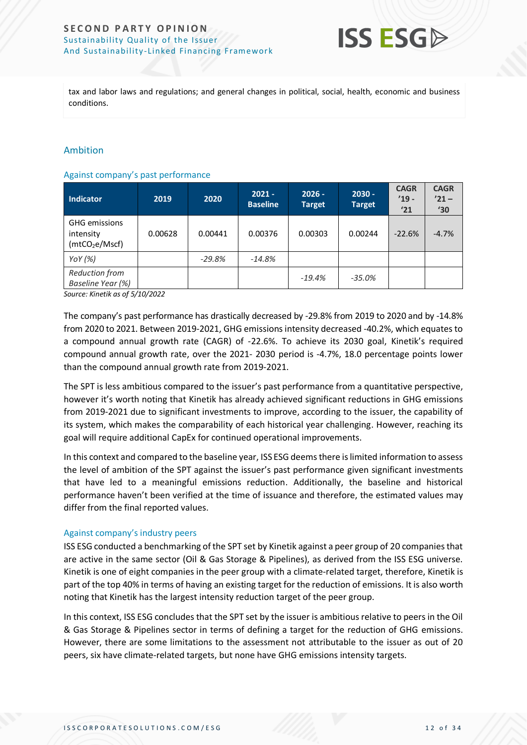

tax and labor laws and regulations; and general changes in political, social, health, economic and business conditions.

### Ambition

#### Against company's past performance

| <b>Indicator</b>                                                | 2019    | 2020     | $2021 -$<br><b>Baseline</b> | $2026 -$<br><b>Target</b> | $2030 -$<br><b>Target</b> | <b>CAGR</b><br>$'19 -$<br>'21 | <b>CAGR</b><br>$'21 -$<br>$^{\prime}30$ |
|-----------------------------------------------------------------|---------|----------|-----------------------------|---------------------------|---------------------------|-------------------------------|-----------------------------------------|
| <b>GHG</b> emissions<br>intensity<br>(mtCO <sub>2</sub> e/Mscf) | 0.00628 | 0.00441  | 0.00376                     | 0.00303                   | 0.00244                   | $-22.6%$                      | $-4.7%$                                 |
| YoY $(%)$                                                       |         | $-29.8%$ | $-14.8%$                    |                           |                           |                               |                                         |
| <b>Reduction from</b><br>Baseline Year (%)                      |         |          |                             | $-19.4%$                  | $-35.0%$                  |                               |                                         |

*Source: Kinetik as of 5/10/2022*

The company's past performance has drastically decreased by -29.8% from 2019 to 2020 and by -14.8% from 2020 to 2021. Between 2019-2021, GHG emissions intensity decreased -40.2%, which equates to a compound annual growth rate (CAGR) of -22.6%. To achieve its 2030 goal, Kinetik's required compound annual growth rate, over the 2021- 2030 period is -4.7%, 18.0 percentage points lower than the compound annual growth rate from 2019-2021.

The SPT is less ambitious compared to the issuer's past performance from a quantitative perspective, however it's worth noting that Kinetik has already achieved significant reductions in GHG emissions from 2019-2021 due to significant investments to improve, according to the issuer, the capability of its system, which makes the comparability of each historical year challenging. However, reaching its goal will require additional CapEx for continued operational improvements.

In this context and compared to the baseline year, ISS ESG deems there is limited information to assess the level of ambition of the SPT against the issuer's past performance given significant investments that have led to a meaningful emissions reduction. Additionally, the baseline and historical performance haven't been verified at the time of issuance and therefore, the estimated values may differ from the final reported values.

### Against company's industry peers

ISS ESG conducted a benchmarking of the SPT set by Kinetik against a peer group of 20 companies that are active in the same sector (Oil & Gas Storage & Pipelines), as derived from the ISS ESG universe. Kinetik is one of eight companies in the peer group with a climate-related target, therefore, Kinetik is part of the top 40% in terms of having an existing target for the reduction of emissions. It is also worth noting that Kinetik has the largest intensity reduction target of the peer group.

In this context, ISS ESG concludes that the SPT set by the issuer is ambitious relative to peers in the Oil & Gas Storage & Pipelines sector in terms of defining a target for the reduction of GHG emissions. However, there are some limitations to the assessment not attributable to the issuer as out of 20 peers, six have climate-related targets, but none have GHG emissions intensity targets.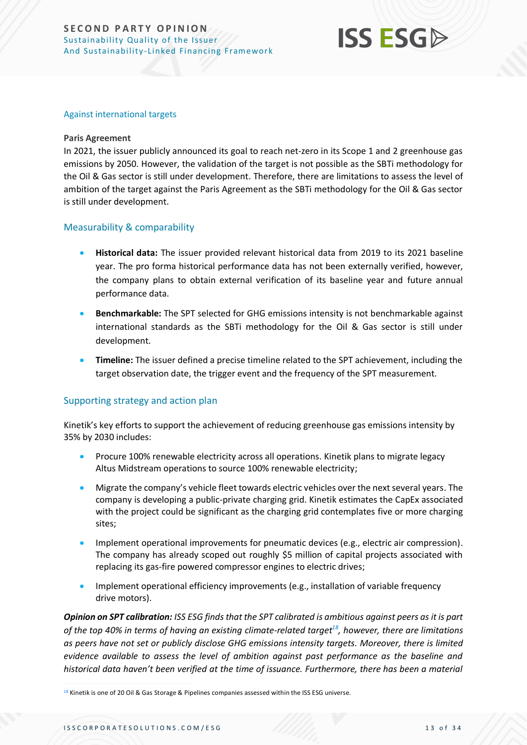## **ISS ESGA**

#### Against international targets

#### **Paris Agreement**

In 2021, the issuer publicly announced its goal to reach net-zero in its Scope 1 and 2 greenhouse gas emissions by 2050. However, the validation of the target is not possible as the SBTi methodology for the Oil & Gas sector is still under development. Therefore, there are limitations to assess the level of ambition of the target against the Paris Agreement as the SBTi methodology for the Oil & Gas sector is still under development.

### Measurability & comparability

- **Historical data:** The issuer provided relevant historical data from 2019 to its 2021 baseline year. The pro forma historical performance data has not been externally verified, however, the company plans to obtain external verification of its baseline year and future annual performance data.
- **Benchmarkable:** The SPT selected for GHG emissions intensity is not benchmarkable against international standards as the SBTi methodology for the Oil & Gas sector is still under development.
- **Timeline:** The issuer defined a precise timeline related to the SPT achievement, including the target observation date, the trigger event and the frequency of the SPT measurement.

### Supporting strategy and action plan

Kinetik's key efforts to support the achievement of reducing greenhouse gas emissions intensity by 35% by 2030 includes:

- Procure 100% renewable electricity across all operations. Kinetik plans to migrate legacy Altus Midstream operations to source 100% renewable electricity;
- Migrate the company's vehicle fleet towards electric vehicles over the next several years. The company is developing a public-private charging grid. Kinetik estimates the CapEx associated with the project could be significant as the charging grid contemplates five or more charging sites;
- Implement operational improvements for pneumatic devices (e.g., electric air compression). The company has already scoped out roughly \$5 million of capital projects associated with replacing its gas-fire powered compressor engines to electric drives;
- Implement operational efficiency improvements (e.g., installation of variable frequency drive motors).

*Opinion on SPT calibration: ISS ESG finds that the SPT calibrated is ambitious against peers as it is part of the top 40% in terms of having an existing climate-related target<sup>18</sup>, however, there are limitations as peers have not set or publicly disclose GHG emissions intensity targets. Moreover, there is limited evidence available to assess the level of ambition against past performance as the baseline and historical data haven't been verified at the time of issuance. Furthermore, there has been a material* 

<sup>18</sup> Kinetik is one of 20 Oil & Gas Storage & Pipelines companies assessed within the ISS ESG universe.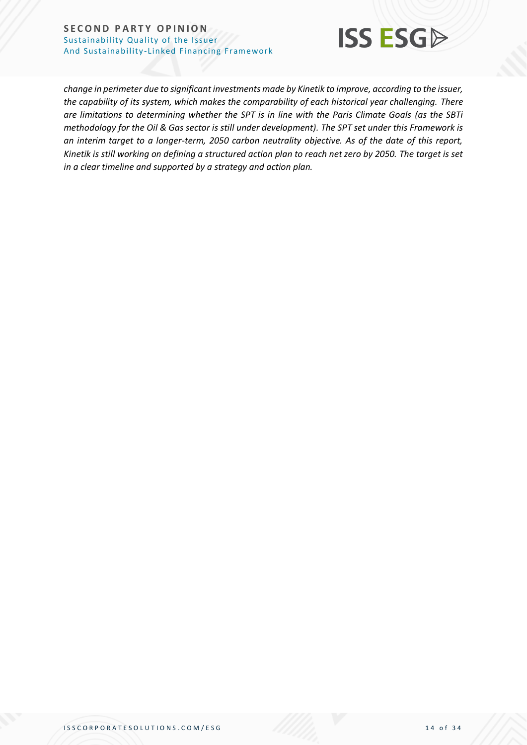

*change in perimeter due to significant investments made by Kinetik to improve, according to the issuer, the capability of its system, which makes the comparability of each historical year challenging. There are limitations to determining whether the SPT is in line with the Paris Climate Goals (as the SBTi methodology for the Oil & Gas sector is still under development). The SPT set under this Framework is an interim target to a longer-term, 2050 carbon neutrality objective. As of the date of this report, Kinetik is still working on defining a structured action plan to reach net zero by 2050. The target is set in a clear timeline and supported by a strategy and action plan.*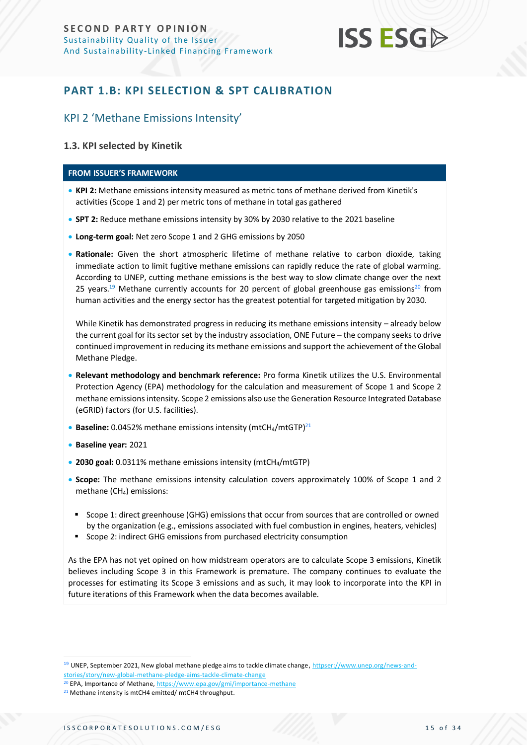

### <span id="page-14-0"></span>**PART 1.B: KPI SELECTION & SPT CALIBRATION**

### KPI 2 'Methane Emissions Intensity'

### **1.3. KPI selected by Kinetik**

#### **FROM ISSUER'S FRAMEWORK**

- **KPI 2:** Methane emissions intensity measured as metric tons of methane derived from Kinetik's activities (Scope 1 and 2) per metric tons of methane in total gas gathered
- **SPT 2:** Reduce methane emissions intensity by 30% by 2030 relative to the 2021 baseline
- **Long-term goal:** Net zero Scope 1 and 2 GHG emissions by 2050
- **Rationale:** Given the short atmospheric lifetime of methane relative to carbon dioxide, taking immediate action to limit fugitive methane emissions can rapidly reduce the rate of global warming. According to UNEP, cutting methane emissions is the best way to slow climate change over the next 25 years.<sup>19</sup> Methane currently accounts for 20 percent of global greenhouse gas emissions<sup>20</sup> from human activities and the energy sector has the greatest potential for targeted mitigation by 2030.

While Kinetik has demonstrated progress in reducing its methane emissions intensity - already below the current goal for its sector set by the industry association, ONE Future – the company seeks to drive continued improvement in reducing its methane emissions and support the achievement of the Global Methane Pledge.

- **Relevant methodology and benchmark reference:** Pro forma Kinetik utilizes the U.S. Environmental Protection Agency (EPA) methodology for the calculation and measurement of Scope 1 and Scope 2 methane emissions intensity. Scope 2 emissions also use the Generation Resource Integrated Database (eGRID) factors (for U.S. facilities).
- **Baseline:** 0.0452% methane emissions intensity (mtCH<sub>4</sub>/mtGTP)<sup>21</sup>
- **Baseline year:** 2021
- **2030 goal:** 0.0311% methane emissions intensity (mtCH4/mtGTP)
- **Scope:** The methane emissions intensity calculation covers approximately 100% of Scope 1 and 2 methane (CH4) emissions:
- Scope 1: direct greenhouse (GHG) emissions that occur from sources that are controlled or owned by the organization (e.g., emissions associated with fuel combustion in engines, heaters, vehicles)
- Scope 2: indirect GHG emissions from purchased electricity consumption

As the EPA has not yet opined on how midstream operators are to calculate Scope 3 emissions, Kinetik believes including Scope 3 in this Framework is premature. The company continues to evaluate the processes for estimating its Scope 3 emissions and as such, it may look to incorporate into the KPI in future iterations of this Framework when the data becomes available.

<sup>20</sup> EPA, Importance of Methane[, https://www.epa.gov/gmi/importance-methane](https://www.epa.gov/gmi/importance-methane)

<sup>&</sup>lt;sup>19</sup> UNEP, September 2021, New global methane pledge aims to tackle climate change, [httpser://www.unep.org/news-and](https://www.unep.org/news-and-stories/story/new-global-methane-pledge-aims-tackle-climate-change)[stories/story/new-global-methane-pledge-aims-tackle-climate-change](https://www.unep.org/news-and-stories/story/new-global-methane-pledge-aims-tackle-climate-change)

<sup>&</sup>lt;sup>21</sup> Methane intensity is mtCH4 emitted/ mtCH4 throughput.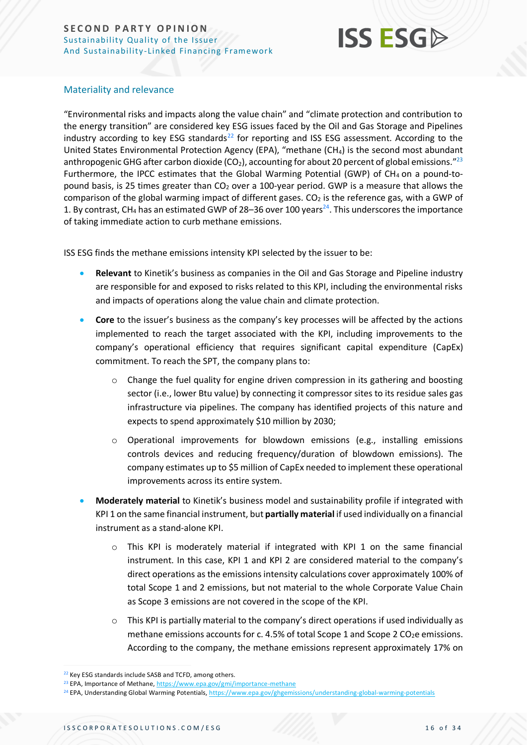

### Materiality and relevance

"Environmental risks and impacts along the value chain" and "climate protection and contribution to the energy transition" are considered key ESG issues faced by the Oil and Gas Storage and Pipelines industry according to key ESG standards<sup>22</sup> for reporting and ISS ESG assessment. According to the United States Environmental Protection Agency (EPA), "methane (CH4) is the second most abundant anthropogenic GHG after carbon dioxide (CO<sub>2</sub>), accounting for about 20 percent of global emissions."<sup>23</sup> Furthermore, the IPCC estimates that the Global Warming Potential (GWP) of  $CH_4$  on a pound-topound basis, is 25 times greater than CO<sub>2</sub> over a 100-year period. GWP is a measure that allows the comparison of the global warming impact of different gases.  $CO<sub>2</sub>$  is the reference gas, with a GWP of 1. By contrast, CH<sub>4</sub> has an estimated GWP of 28–36 over 100 years<sup>24</sup>. This underscores the importance of taking immediate action to curb methane emissions.

ISS ESG finds the methane emissions intensity KPI selected by the issuer to be:

- **Relevant** to Kinetik's business as companies in the Oil and Gas Storage and Pipeline industry are responsible for and exposed to risks related to this KPI, including the environmental risks and impacts of operations along the value chain and climate protection.
- **Core** to the issuer's business as the company's key processes will be affected by the actions implemented to reach the target associated with the KPI, including improvements to the company's operational efficiency that requires significant capital expenditure (CapEx) commitment. To reach the SPT, the company plans to:
	- o Change the fuel quality for engine driven compression in its gathering and boosting sector (i.e., lower Btu value) by connecting it compressor sites to its residue sales gas infrastructure via pipelines. The company has identified projects of this nature and expects to spend approximately \$10 million by 2030;
	- o Operational improvements for blowdown emissions (e.g., installing emissions controls devices and reducing frequency/duration of blowdown emissions). The company estimates up to \$5 million of CapEx needed to implement these operational improvements across its entire system.
- **Moderately material** to Kinetik's business model and sustainability profile if integrated with KPI 1 on the same financial instrument, but **partially material** if used individually on a financial instrument as a stand-alone KPI.
	- $\circ$  This KPI is moderately material if integrated with KPI 1 on the same financial instrument. In this case, KPI 1 and KPI 2 are considered material to the company's direct operations as the emissions intensity calculations cover approximately 100% of total Scope 1 and 2 emissions, but not material to the whole Corporate Value Chain as Scope 3 emissions are not covered in the scope of the KPI.
	- $\circ$  This KPI is partially material to the company's direct operations if used individually as methane emissions accounts for c. 4.5% of total Scope 1 and Scope 2  $CO<sub>2</sub>e$  emissions. According to the company, the methane emissions represent approximately 17% on

<sup>&</sup>lt;sup>22</sup> Key ESG standards include SASB and TCFD, among others.

<sup>&</sup>lt;sup>23</sup> EPA, Importance of Methane[, https://www.epa.gov/gmi/importance-methane](https://www.epa.gov/gmi/importance-methane)

<sup>&</sup>lt;sup>24</sup> EPA, Understanding Global Warming Potentials, <https://www.epa.gov/ghgemissions/understanding-global-warming-potentials>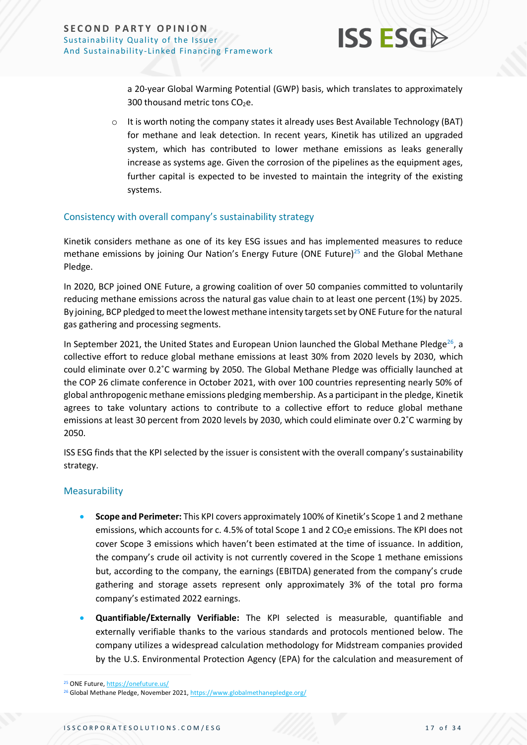

a 20-year Global Warming Potential (GWP) basis, which translates to approximately 300 thousand metric tons  $CO<sub>2</sub>e$ .

 $\circ$  It is worth noting the company states it already uses Best Available Technology (BAT) for methane and leak detection. In recent years, Kinetik has utilized an upgraded system, which has contributed to lower methane emissions as leaks generally increase as systems age. Given the corrosion of the pipelines as the equipment ages, further capital is expected to be invested to maintain the integrity of the existing systems.

### Consistency with overall company's sustainability strategy

Kinetik considers methane as one of its key ESG issues and has implemented measures to reduce methane emissions by joining Our Nation's Energy Future (ONE Future)<sup>25</sup> and the Global Methane Pledge.

In 2020, BCP joined ONE Future, a growing coalition of over 50 companies committed to voluntarily reducing methane emissions across the natural gas value chain to at least one percent (1%) by 2025. By joining, BCP pledged to meet the lowest methane intensity targets set by ONE Future for the natural gas gathering and processing segments.

In September 2021, the United States and European Union launched the Global Methane Pledge<sup>26</sup>, a collective effort to reduce global methane emissions at least 30% from 2020 levels by 2030, which could eliminate over 0.2˚C warming by 2050. The Global Methane Pledge was officially launched at the COP 26 climate conference in October 2021, with over 100 countries representing nearly 50% of global anthropogenic methane emissions pledging membership. As a participant in the pledge, Kinetik agrees to take voluntary actions to contribute to a collective effort to reduce global methane emissions at least 30 percent from 2020 levels by 2030, which could eliminate over 0.2˚C warming by 2050.

ISS ESG finds that the KPI selected by the issuer is consistent with the overall company's sustainability strategy.

### Measurability

- **Scope and Perimeter:** This KPI covers approximately 100% of Kinetik's Scope 1 and 2 methane emissions, which accounts for c. 4.5% of total Scope 1 and 2  $CO<sub>2</sub>e$  emissions. The KPI does not cover Scope 3 emissions which haven't been estimated at the time of issuance. In addition, the company's crude oil activity is not currently covered in the Scope 1 methane emissions but, according to the company, the earnings (EBITDA) generated from the company's crude gathering and storage assets represent only approximately 3% of the total pro forma company's estimated 2022 earnings.
- **Quantifiable/Externally Verifiable:** The KPI selected is measurable, quantifiable and externally verifiable thanks to the various standards and protocols mentioned below. The company utilizes a widespread calculation methodology for Midstream companies provided by the U.S. Environmental Protection Agency (EPA) for the calculation and measurement of

<sup>25</sup> ONE Future[, https://onefuture.us/](https://onefuture.us/)

<sup>&</sup>lt;sup>26</sup> Global Methane Pledge, November 2021[, https://www.globalmethanepledge.org/](https://www.globalmethanepledge.org/)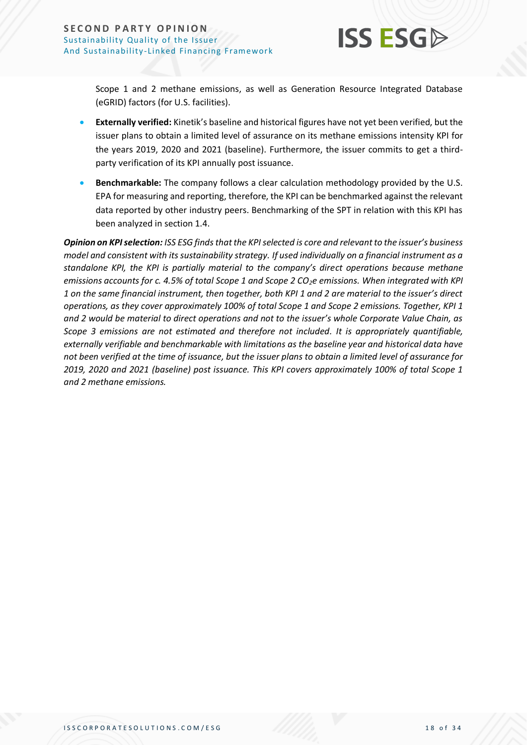Scope 1 and 2 methane emissions, as well as Generation Resource Integrated Database (eGRID) factors (for U.S. facilities).

- **Externally verified:** Kinetik's baseline and historical figures have not yet been verified, but the issuer plans to obtain a limited level of assurance on its methane emissions intensity KPI for the years 2019, 2020 and 2021 (baseline). Furthermore, the issuer commits to get a thirdparty verification of its KPI annually post issuance.
- **Benchmarkable:** The company follows a clear calculation methodology provided by the U.S. EPA for measuring and reporting, therefore, the KPI can be benchmarked against the relevant data reported by other industry peers. Benchmarking of the SPT in relation with this KPI has been analyzed in section 1.4.

*Opinion on KPI selection: ISS ESG finds that the KPI selected is core and relevant to the issuer's business model and consistent with its sustainability strategy. If used individually on a financial instrument as a standalone KPI, the KPI is partially material to the company's direct operations because methane emissions accounts for c. 4.5% of total Scope 1 and Scope 2 CO2e emissions. When integrated with KPI 1 on the same financial instrument, then together, both KPI 1 and 2 are material to the issuer's direct operations, as they cover approximately 100% of total Scope 1 and Scope 2 emissions. Together, KPI 1 and 2 would be material to direct operations and not to the issuer's whole Corporate Value Chain, as Scope 3 emissions are not estimated and therefore not included. It is appropriately quantifiable, externally verifiable and benchmarkable with limitations as the baseline year and historical data have not been verified at the time of issuance, but the issuer plans to obtain a limited level of assurance for 2019, 2020 and 2021 (baseline) post issuance. This KPI covers approximately 100% of total Scope 1 and 2 methane emissions.*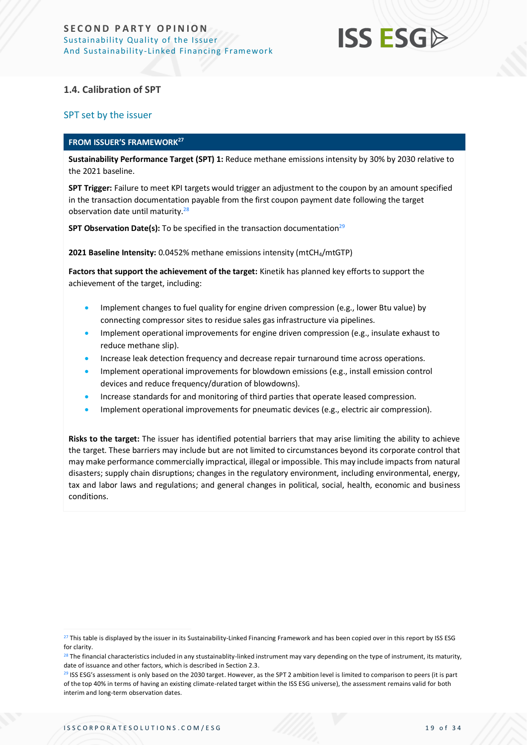

### **1.4. Calibration of SPT**

### SPT set by the issuer

#### **FROM ISSUER'S FRAMEWORK<sup>27</sup>**

**Sustainability Performance Target (SPT) 1:** Reduce methane emissions intensity by 30% by 2030 relative to the 2021 baseline.

**SPT Trigger:** Failure to meet KPI targets would trigger an adjustment to the coupon by an amount specified in the transaction documentation payable from the first coupon payment date following the target observation date until maturity.<sup>28</sup>

**SPT Observation Date(s):** To be specified in the transaction documentation<sup>29</sup>

**2021 Baseline Intensity:** 0.0452% methane emissions intensity (mtCH4/mtGTP)

**Factors that support the achievement of the target:** Kinetik has planned key efforts to support the achievement of the target, including:

- Implement changes to fuel quality for engine driven compression (e.g., lower Btu value) by connecting compressor sites to residue sales gas infrastructure via pipelines.
- Implement operational improvements for engine driven compression (e.g., insulate exhaust to reduce methane slip).
- Increase leak detection frequency and decrease repair turnaround time across operations.
- Implement operational improvements for blowdown emissions (e.g., install emission control devices and reduce frequency/duration of blowdowns).
- Increase standards for and monitoring of third parties that operate leased compression.
- Implement operational improvements for pneumatic devices (e.g., electric air compression).

**Risks to the target:** The issuer has identified potential barriers that may arise limiting the ability to achieve the target. These barriers may include but are not limited to circumstances beyond its corporate control that may make performance commercially impractical, illegal or impossible. This may include impacts from natural disasters; supply chain disruptions; changes in the regulatory environment, including environmental, energy, tax and labor laws and regulations; and general changes in political, social, health, economic and business conditions.

<sup>&</sup>lt;sup>27</sup> This table is displayed by the issuer in its Sustainability-Linked Financing Framework and has been copied over in this report by ISS ESG for clarity.

 $28$  The financial characteristics included in any stustainablity-linked instrument may vary depending on the type of instrument, its maturity, date of issuance and other factors, which is described in Section 2.3.

<sup>&</sup>lt;sup>29</sup> ISS ESG's assessment is only based on the 2030 target. However, as the SPT 2 ambition level is limited to comparison to peers (it is part of the top 40% in terms of having an existing climate-related target within the ISS ESG universe), the assessment remains valid for both interim and long-term observation dates.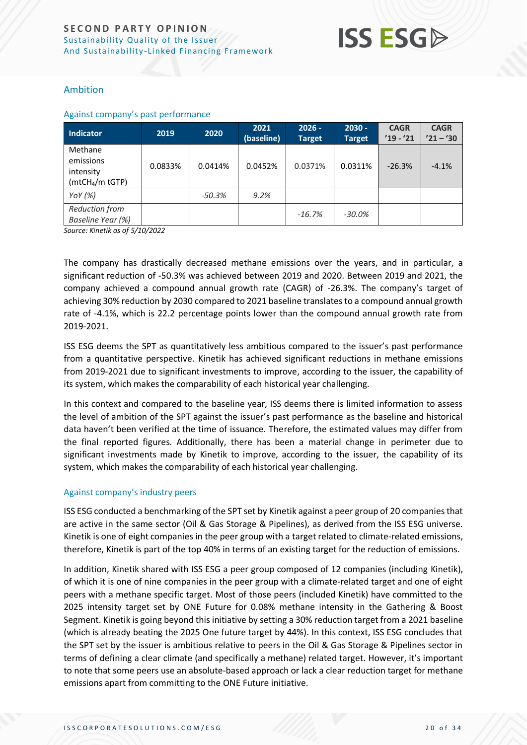

### Ambition

#### Against company's past performance

| <b>Indicator</b>                                                 | 2019    | 2020     | 2021<br>(baseline) | $2026 -$<br><b>Target</b> | $2030 -$<br><b>Target</b> | <b>CAGR</b><br>$'19 - '21$ | <b>CAGR</b><br>$'21 - '30$ |
|------------------------------------------------------------------|---------|----------|--------------------|---------------------------|---------------------------|----------------------------|----------------------------|
| Methane<br>emissions<br>intensity<br>(mtCH <sub>4</sub> /m tGTP) | 0.0833% | 0.0414%  | 0.0452%            | 0.0371%                   | 0.0311%                   | $-26.3%$                   | $-4.1%$                    |
| YoY $(%)$                                                        |         | $-50.3%$ | 9.2%               |                           |                           |                            |                            |
| <b>Reduction from</b><br>Baseline Year (%)                       |         |          |                    | $-16.7%$                  | $-30.0\%$                 |                            |                            |

*Source: Kinetik as of 5/10/2022*

The company has drastically decreased methane emissions over the years, and in particular, a significant reduction of -50.3% was achieved between 2019 and 2020. Between 2019 and 2021, the company achieved a compound annual growth rate (CAGR) of -26.3%. The company's target of achieving 30% reduction by 2030 compared to 2021 baseline translates to a compound annual growth rate of -4.1%, which is 22.2 percentage points lower than the compound annual growth rate from 2019-2021.

ISS ESG deems the SPT as quantitatively less ambitious compared to the issuer's past performance from a quantitative perspective. Kinetik has achieved significant reductions in methane emissions from 2019-2021 due to significant investments to improve, according to the issuer, the capability of its system, which makes the comparability of each historical year challenging.

In this context and compared to the baseline year, ISS deems there is limited information to assess the level of ambition of the SPT against the issuer's past performance as the baseline and historical data haven't been verified at the time of issuance. Therefore, the estimated values may differ from the final reported figures. Additionally, there has been a material change in perimeter due to significant investments made by Kinetik to improve, according to the issuer, the capability of its system, which makes the comparability of each historical year challenging.

### Against company's industry peers

ISS ESG conducted a benchmarking of the SPT set by Kinetik against a peer group of 20 companies that are active in the same sector (Oil & Gas Storage & Pipelines), as derived from the ISS ESG universe. Kinetik is one of eight companies in the peer group with a target related to climate-related emissions, therefore, Kinetik is part of the top 40% in terms of an existing target for the reduction of emissions.

In addition, Kinetik shared with ISS ESG a peer group composed of 12 companies (including Kinetik), of which it is one of nine companies in the peer group with a climate-related target and one of eight peers with a methane specific target. Most of those peers (included Kinetik) have committed to the 2025 intensity target set by ONE Future for 0.08% methane intensity in the Gathering & Boost Segment. Kinetik is going beyond this initiative by setting a 30% reduction target from a 2021 baseline (which is already beating the 2025 One future target by 44%). In this context, ISS ESG concludes that the SPT set by the issuer is ambitious relative to peers in the Oil & Gas Storage & Pipelines sector in terms of defining a clear climate (and specifically a methane) related target. However, it's important to note that some peers use an absolute-based approach or lack a clear reduction target for methane emissions apart from committing to the ONE Future initiative.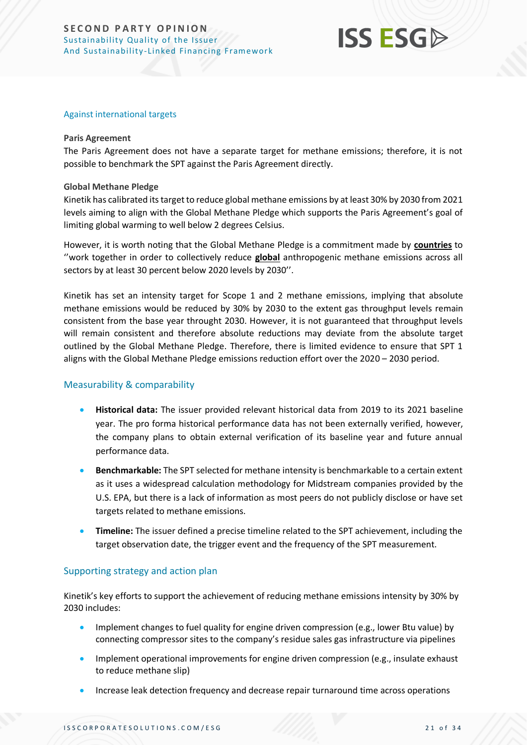## **ISS ESGA**

#### Against international targets

### **Paris Agreement**

The Paris Agreement does not have a separate target for methane emissions; therefore, it is not possible to benchmark the SPT against the Paris Agreement directly.

### **Global Methane Pledge**

Kinetik has calibrated its target to reduce global methane emissions by at least 30% by 2030 from 2021 levels aiming to align with the Global Methane Pledge which supports the Paris Agreement's goal of limiting global warming to well below 2 degrees Celsius.

However, it is worth noting that the Global Methane Pledge is a commitment made by **countries** to ''work together in order to collectively reduce **global** anthropogenic methane emissions across all sectors by at least 30 percent below 2020 levels by 2030''.

Kinetik has set an intensity target for Scope 1 and 2 methane emissions, implying that absolute methane emissions would be reduced by 30% by 2030 to the extent gas throughput levels remain consistent from the base year throught 2030. However, it is not guaranteed that throughput levels will remain consistent and therefore absolute reductions may deviate from the absolute target outlined by the Global Methane Pledge. Therefore, there is limited evidence to ensure that SPT 1 aligns with the Global Methane Pledge emissions reduction effort over the 2020 – 2030 period.

### Measurability & comparability

- **Historical data:** The issuer provided relevant historical data from 2019 to its 2021 baseline year. The pro forma historical performance data has not been externally verified, however, the company plans to obtain external verification of its baseline year and future annual performance data.
- **Benchmarkable:** The SPT selected for methane intensity is benchmarkable to a certain extent as it uses a widespread calculation methodology for Midstream companies provided by the U.S. EPA, but there is a lack of information as most peers do not publicly disclose or have set targets related to methane emissions.
- **Timeline:** The issuer defined a precise timeline related to the SPT achievement, including the target observation date, the trigger event and the frequency of the SPT measurement.

### Supporting strategy and action plan

Kinetik's key efforts to support the achievement of reducing methane emissions intensity by 30% by 2030 includes:

- Implement changes to fuel quality for engine driven compression (e.g., lower Btu value) by connecting compressor sites to the company's residue sales gas infrastructure via pipelines
- Implement operational improvements for engine driven compression (e.g., insulate exhaust to reduce methane slip)
- Increase leak detection frequency and decrease repair turnaround time across operations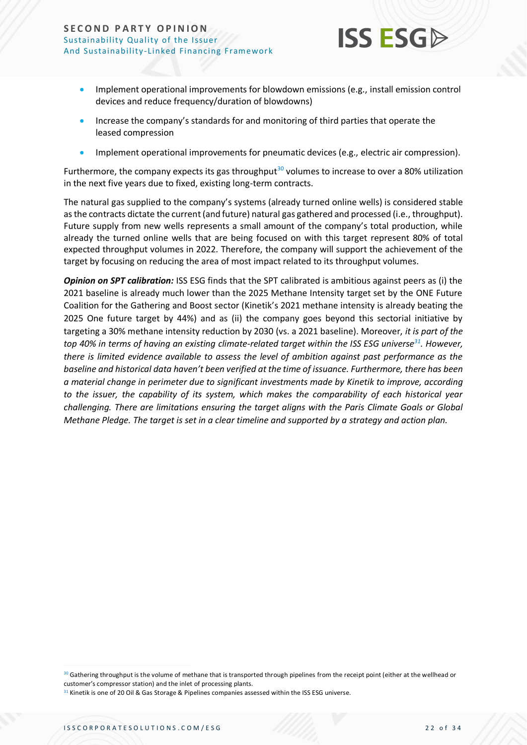

- Implement operational improvements for blowdown emissions (e.g., install emission control devices and reduce frequency/duration of blowdowns)
- Increase the company's standards for and monitoring of third parties that operate the leased compression
- Implement operational improvements for pneumatic devices (e.g., electric air compression).

Furthermore, the company expects its gas throughput<sup>30</sup> volumes to increase to over a 80% utilization in the next five years due to fixed, existing long-term contracts.

The natural gas supplied to the company's systems (already turned online wells) is considered stable as the contracts dictate the current (and future) natural gas gathered and processed (i.e., throughput). Future supply from new wells represents a small amount of the company's total production, while already the turned online wells that are being focused on with this target represent 80% of total expected throughput volumes in 2022. Therefore, the company will support the achievement of the target by focusing on reducing the area of most impact related to its throughput volumes.

*Opinion on SPT calibration:* ISS ESG finds that the SPT calibrated is ambitious against peers as (i) the 2021 baseline is already much lower than the 2025 Methane Intensity target set by the ONE Future Coalition for the Gathering and Boost sector (Kinetik's 2021 methane intensity is already beating the 2025 One future target by 44%) and as (ii) the company goes beyond this sectorial initiative by targeting a 30% methane intensity reduction by 2030 (vs. a 2021 baseline). Moreover, *it is part of the top 40% in terms of having an existing climate-related target within the ISS ESG universe<sup>31</sup> . However, there is limited evidence available to assess the level of ambition against past performance as the baseline and historical data haven't been verified at the time of issuance. Furthermore, there has been a material change in perimeter due to significant investments made by Kinetik to improve, according to the issuer, the capability of its system, which makes the comparability of each historical year challenging. There are limitations ensuring the target aligns with the Paris Climate Goals or Global Methane Pledge. The target is set in a clear timeline and supported by a strategy and action plan.*

<sup>30</sup> Gathering throughput is the volume of methane that is transported through pipelines from the receipt point (either at the wellhead or customer's compressor station) and the inlet of processing plants.

<sup>31</sup> Kinetik is one of 20 Oil & Gas Storage & Pipelines companies assessed within the ISS ESG universe.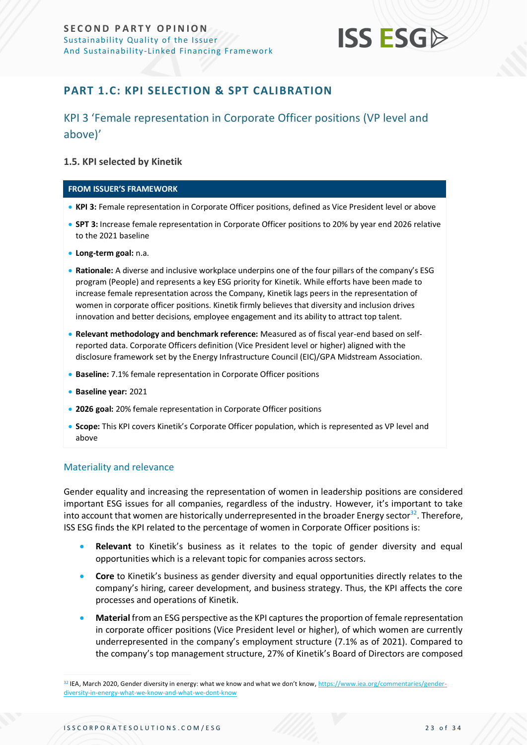

### <span id="page-22-0"></span>**PART 1.C: KPI SELECTION & SPT CALIBRATION**

### KPI 3 'Female representation in Corporate Officer positions (VP level and above)'

### **1.5. KPI selected by Kinetik**

#### **FROM ISSUER'S FRAMEWORK**

- **KPI 3:** Female representation in Corporate Officer positions, defined as Vice President level or above
- **SPT 3:** Increase female representation in Corporate Officer positions to 20% by year end 2026 relative to the 2021 baseline
- **Long-term goal:** n.a.
- **Rationale:** A diverse and inclusive workplace underpins one of the four pillars of the company's ESG program (People) and represents a key ESG priority for Kinetik. While efforts have been made to increase female representation across the Company, Kinetik lags peers in the representation of women in corporate officer positions. Kinetik firmly believes that diversity and inclusion drives innovation and better decisions, employee engagement and its ability to attract top talent.
- **Relevant methodology and benchmark reference:** Measured as of fiscal year-end based on selfreported data. Corporate Officers definition (Vice President level or higher) aligned with the disclosure framework set by the Energy Infrastructure Council (EIC)/GPA Midstream Association.
- **Baseline:** 7.1% female representation in Corporate Officer positions
- **Baseline year:** 2021
- **2026 goal:** 20% female representation in Corporate Officer positions
- **Scope:** This KPI covers Kinetik's Corporate Officer population, which is represented as VP level and above

### Materiality and relevance

Gender equality and increasing the representation of women in leadership positions are considered important ESG issues for all companies, regardless of the industry. However, it's important to take into account that women are historically underrepresented in the broader Energy sector $^{32}$ . Therefore, ISS ESG finds the KPI related to the percentage of women in Corporate Officer positions is:

- **Relevant** to Kinetik's business as it relates to the topic of gender diversity and equal opportunities which is a relevant topic for companies across sectors.
- **Core** to Kinetik's business as gender diversity and equal opportunities directly relates to the company's hiring, career development, and business strategy. Thus, the KPI affects the core processes and operations of Kinetik.
- **Material** from an ESG perspective as the KPI captures the proportion of female representation in corporate officer positions (Vice President level or higher), of which women are currently underrepresented in the company's employment structure (7.1% as of 2021). Compared to the company's top management structure, 27% of Kinetik's Board of Directors are composed

<sup>&</sup>lt;sup>32</sup> IEA, March 2020, Gender diversity in energy: what we know and what we don't know[, https://www.iea.org/commentaries/gender](https://www.iea.org/commentaries/gender-diversity-in-energy-what-we-know-and-what-we-dont-know)[diversity-in-energy-what-we-know-and-what-we-dont-know](https://www.iea.org/commentaries/gender-diversity-in-energy-what-we-know-and-what-we-dont-know)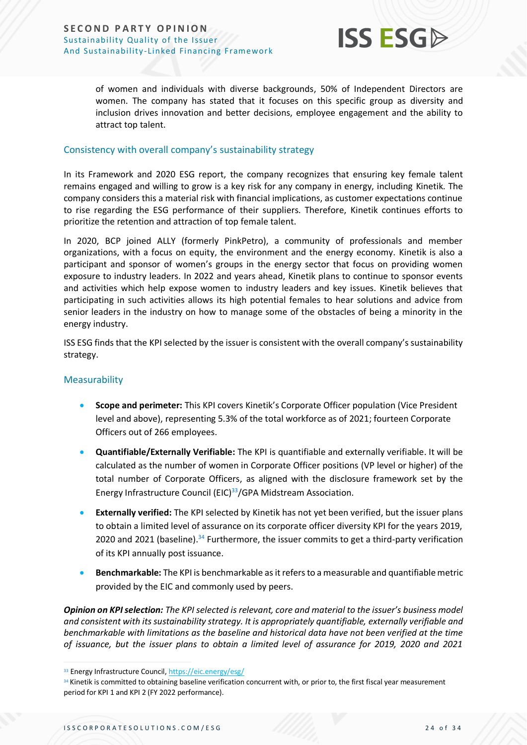

of women and individuals with diverse backgrounds, 50% of Independent Directors are women. The company has stated that it focuses on this specific group as diversity and inclusion drives innovation and better decisions, employee engagement and the ability to attract top talent.

### Consistency with overall company's sustainability strategy

In its Framework and 2020 ESG report, the company recognizes that ensuring key female talent remains engaged and willing to grow is a key risk for any company in energy, including Kinetik. The company considers this a material risk with financial implications, as customer expectations continue to rise regarding the ESG performance of their suppliers. Therefore, Kinetik continues efforts to prioritize the retention and attraction of top female talent.

In 2020, BCP joined ALLY (formerly PinkPetro), a community of professionals and member organizations, with a focus on equity, the environment and the energy economy. Kinetik is also a participant and sponsor of women's groups in the energy sector that focus on providing women exposure to industry leaders. In 2022 and years ahead, Kinetik plans to continue to sponsor events and activities which help expose women to industry leaders and key issues. Kinetik believes that participating in such activities allows its high potential females to hear solutions and advice from senior leaders in the industry on how to manage some of the obstacles of being a minority in the energy industry.

ISS ESG finds that the KPI selected by the issuer is consistent with the overall company's sustainability strategy.

### Measurability

- **Scope and perimeter:** This KPI covers Kinetik's Corporate Officer population (Vice President level and above), representing 5.3% of the total workforce as of 2021; fourteen Corporate Officers out of 266 employees.
- **Quantifiable/Externally Verifiable:** The KPI is quantifiable and externally verifiable. It will be calculated as the number of women in Corporate Officer positions (VP level or higher) of the total number of Corporate Officers, as aligned with the disclosure framework set by the Energy Infrastructure Council (EIC)<sup>33</sup>/GPA Midstream Association.
- **Externally verified:** The KPI selected by Kinetik has not yet been verified, but the issuer plans to obtain a limited level of assurance on its corporate officer diversity KPI for the years 2019, 2020 and 2021 (baseline).<sup>34</sup> Furthermore, the issuer commits to get a third-party verification of its KPI annually post issuance.
- **Benchmarkable:** The KPI is benchmarkable as it refers to a measurable and quantifiable metric provided by the EIC and commonly used by peers.

*Opinion on KPI selection: The KPI selected is relevant, core and material to the issuer's business model and consistent with its sustainability strategy. It is appropriately quantifiable, externally verifiable and benchmarkable with limitations as the baseline and historical data have not been verified at the time of issuance, but the issuer plans to obtain a limited level of assurance for 2019, 2020 and 2021* 

<sup>33</sup> Energy Infrastructure Council[, https://eic.energy/esg/](https://eic.energy/esg/)

<sup>34</sup> Kinetik is committed to obtaining baseline verification concurrent with, or prior to, the first fiscal year measurement period for KPI 1 and KPI 2 (FY 2022 performance).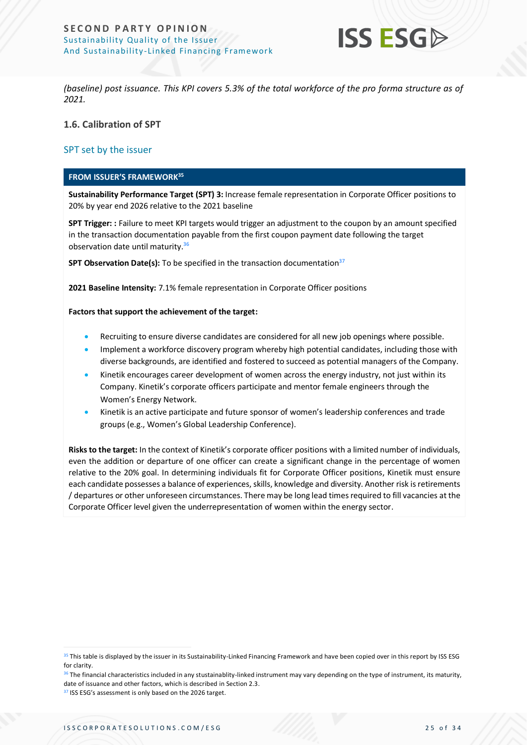

*(baseline) post issuance. This KPI covers 5.3% of the total workforce of the pro forma structure as of 2021.*

**1.6. Calibration of SPT**

### SPT set by the issuer

#### **FROM ISSUER'S FRAMEWORK<sup>35</sup>**

**Sustainability Performance Target (SPT) 3:** Increase female representation in Corporate Officer positions to 20% by year end 2026 relative to the 2021 baseline

**SPT Trigger: :** Failure to meet KPI targets would trigger an adjustment to the coupon by an amount specified in the transaction documentation payable from the first coupon payment date following the target observation date until maturity.<sup>36</sup>

**SPT Observation Date(s):** To be specified in the transaction documentation<sup>37</sup>

**2021 Baseline Intensity:** 7.1% female representation in Corporate Officer positions

#### **Factors that support the achievement of the target:**

- Recruiting to ensure diverse candidates are considered for all new job openings where possible.
- Implement a workforce discovery program whereby high potential candidates, including those with diverse backgrounds, are identified and fostered to succeed as potential managers of the Company.
- Kinetik encourages career development of women across the energy industry, not just within its Company. Kinetik's corporate officers participate and mentor female engineers through the Women's Energy Network.
- Kinetik is an active participate and future sponsor of women's leadership conferences and trade groups (e.g., Women's Global Leadership Conference).

**Risks to the target:** In the context of Kinetik's corporate officer positions with a limited number of individuals, even the addition or departure of one officer can create a significant change in the percentage of women relative to the 20% goal. In determining individuals fit for Corporate Officer positions, Kinetik must ensure each candidate possesses a balance of experiences, skills, knowledge and diversity. Another risk is retirements / departures or other unforeseen circumstances. There may be long lead times required to fill vacancies at the Corporate Officer level given the underrepresentation of women within the energy sector.

<sup>35</sup> This table is displayed by the issuer in its Sustainability-Linked Financing Framework and have been copied over in this report by ISS ESG for clarity.

<sup>&</sup>lt;sup>36</sup> The financial characteristics included in any stustainablity-linked instrument may vary depending on the type of instrument, its maturity, date of issuance and other factors, which is described in Section 2.3.

<sup>37</sup> ISS ESG's assessment is only based on the 2026 target.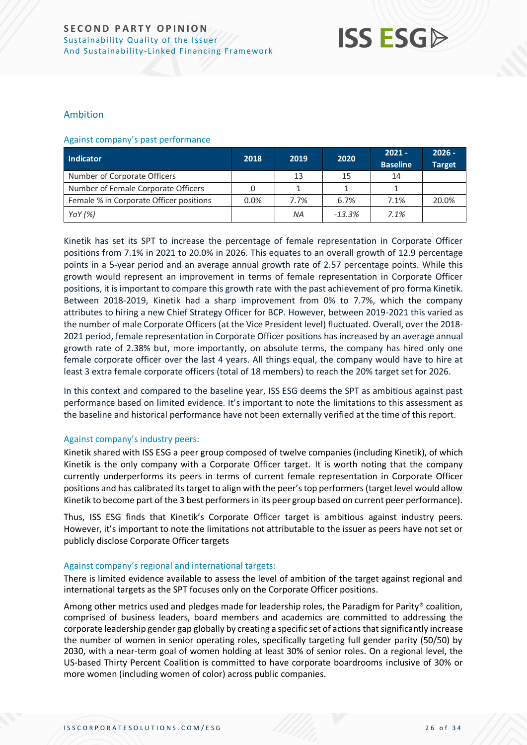## **ISS ESG**

### Ambition

#### Against company's past performance

| Indicator                               | 2018 | 2019 | 2020     | $2021 -$<br><b>Baseline</b> | $2026 -$<br><b>Target</b> |
|-----------------------------------------|------|------|----------|-----------------------------|---------------------------|
| Number of Corporate Officers            |      | 13   | 15       | 14                          |                           |
| Number of Female Corporate Officers     |      |      |          |                             |                           |
| Female % in Corporate Officer positions | 0.0% | 7.7% | 6.7%     | 7.1%                        | 20.0%                     |
| YoY $(%)$                               |      | ΝA   | $-13.3%$ | 7.1%                        |                           |

Kinetik has set its SPT to increase the percentage of female representation in Corporate Officer positions from 7.1% in 2021 to 20.0% in 2026. This equates to an overall growth of 12.9 percentage points in a 5-year period and an average annual growth rate of 2.57 percentage points. While this growth would represent an improvement in terms of female representation in Corporate Officer positions, it is important to compare this growth rate with the past achievement of pro forma Kinetik. Between 2018-2019, Kinetik had a sharp improvement from 0% to 7.7%, which the company attributes to hiring a new Chief Strategy Officer for BCP. However, between 2019-2021 this varied as the number of male Corporate Officers (at the Vice President level) fluctuated. Overall, over the 2018- 2021 period, female representation in Corporate Officer positions has increased by an average annual growth rate of 2.38% but, more importantly, on absolute terms, the company has hired only one female corporate officer over the last 4 years. All things equal, the company would have to hire at least 3 extra female corporate officers (total of 18 members) to reach the 20% target set for 2026.

In this context and compared to the baseline year, ISS ESG deems the SPT as ambitious against past performance based on limited evidence. It's important to note the limitations to this assessment as the baseline and historical performance have not been externally verified at the time of this report.

### Against company's industry peers:

Kinetik shared with ISS ESG a peer group composed of twelve companies (including Kinetik), of which Kinetik is the only company with a Corporate Officer target. It is worth noting that the company currently underperforms its peers in terms of current female representation in Corporate Officer positions and has calibrated its target to align with the peer's top performers (target level would allow Kinetik to become part of the 3 best performers in its peer group based on current peer performance).

Thus, ISS ESG finds that Kinetik's Corporate Officer target is ambitious against industry peers. However, it's important to note the limitations not attributable to the issuer as peers have not set or publicly disclose Corporate Officer targets

### Against company's regional and international targets:

There is limited evidence available to assess the level of ambition of the target against regional and international targets as the SPT focuses only on the Corporate Officer positions.

Among other metrics used and pledges made for leadership roles, the Paradigm for Parity® coalition, comprised of business leaders, board members and academics are committed to addressing the corporate leadership gender gap globally by creating a specific set of actions that significantly increase the number of women in senior operating roles, specifically targeting full gender parity (50/50) by 2030, with a near-term goal of women holding at least 30% of senior roles. On a regional level, the US-based Thirty Percent Coalition is committed to have corporate boardrooms inclusive of 30% or more women (including women of color) across public companies.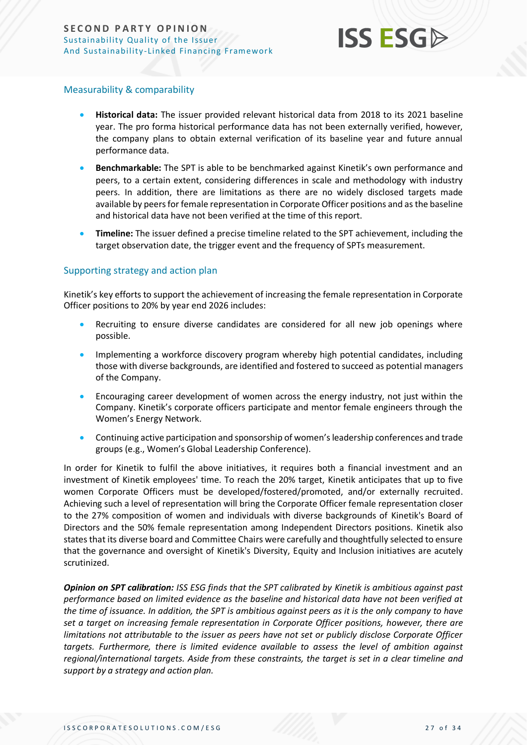

### Measurability & comparability

- **Historical data:** The issuer provided relevant historical data from 2018 to its 2021 baseline year. The pro forma historical performance data has not been externally verified, however, the company plans to obtain external verification of its baseline year and future annual performance data.
- **Benchmarkable:** The SPT is able to be benchmarked against Kinetik's own performance and peers, to a certain extent, considering differences in scale and methodology with industry peers. In addition, there are limitations as there are no widely disclosed targets made available by peers for female representation in Corporate Officer positions and as the baseline and historical data have not been verified at the time of this report.
- **Timeline:** The issuer defined a precise timeline related to the SPT achievement, including the target observation date, the trigger event and the frequency of SPTs measurement.

### Supporting strategy and action plan

Kinetik's key efforts to support the achievement of increasing the female representation in Corporate Officer positions to 20% by year end 2026 includes:

- Recruiting to ensure diverse candidates are considered for all new job openings where possible.
- Implementing a workforce discovery program whereby high potential candidates, including those with diverse backgrounds, are identified and fostered to succeed as potential managers of the Company.
- Encouraging career development of women across the energy industry, not just within the Company. Kinetik's corporate officers participate and mentor female engineers through the Women's Energy Network.
- Continuing active participation and sponsorship of women's leadership conferences and trade groups (e.g., Women's Global Leadership Conference).

In order for Kinetik to fulfil the above initiatives, it requires both a financial investment and an investment of Kinetik employees' time. To reach the 20% target, Kinetik anticipates that up to five women Corporate Officers must be developed/fostered/promoted, and/or externally recruited. Achieving such a level of representation will bring the Corporate Officer female representation closer to the 27% composition of women and individuals with diverse backgrounds of Kinetik's Board of Directors and the 50% female representation among Independent Directors positions. Kinetik also states that its diverse board and Committee Chairs were carefully and thoughtfully selected to ensure that the governance and oversight of Kinetik's Diversity, Equity and Inclusion initiatives are acutely scrutinized.

*Opinion on SPT calibration: ISS ESG finds that the SPT calibrated by Kinetik is ambitious against past performance based on limited evidence as the baseline and historical data have not been verified at the time of issuance. In addition, the SPT is ambitious against peers as it is the only company to have set a target on increasing female representation in Corporate Officer positions, however, there are limitations not attributable to the issuer as peers have not set or publicly disclose Corporate Officer targets. Furthermore, there is limited evidence available to assess the level of ambition against regional/international targets. Aside from these constraints, the target is set in a clear timeline and support by a strategy and action plan.*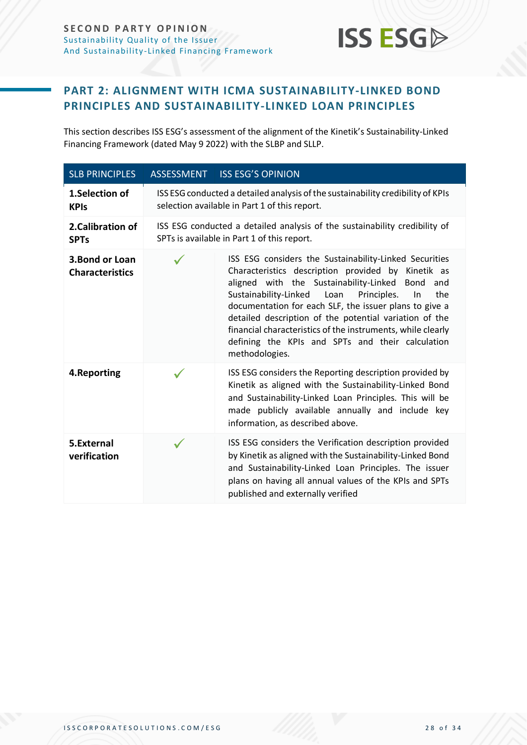

### <span id="page-27-0"></span>**PART 2: ALIGNMENT WITH ICMA SUSTAINABILITY-LINKED BOND PRINCIPLES AND SUSTAINABILITY-LINKED LOAN PRINCIPLES**

This section describes ISS ESG's assessment of the alignment of the Kinetik's Sustainability-Linked Financing Framework (dated May 9 2022) with the SLBP and SLLP.

| <b>SLB PRINCIPLES</b>                     | <b>ASSESSMENT</b> | <b>ISS ESG'S OPINION</b>                                                                                                                                                                                                                                                                                                                                                                                                                                                                 |
|-------------------------------------------|-------------------|------------------------------------------------------------------------------------------------------------------------------------------------------------------------------------------------------------------------------------------------------------------------------------------------------------------------------------------------------------------------------------------------------------------------------------------------------------------------------------------|
| 1.Selection of<br><b>KPIs</b>             |                   | ISS ESG conducted a detailed analysis of the sustainability credibility of KPIs<br>selection available in Part 1 of this report.                                                                                                                                                                                                                                                                                                                                                         |
| 2. Calibration of<br><b>SPTs</b>          |                   | ISS ESG conducted a detailed analysis of the sustainability credibility of<br>SPTs is available in Part 1 of this report.                                                                                                                                                                                                                                                                                                                                                                |
| 3. Bond or Loan<br><b>Characteristics</b> |                   | ISS ESG considers the Sustainability-Linked Securities<br>Characteristics description provided by Kinetik as<br>aligned with the Sustainability-Linked Bond<br>and<br>Sustainability-Linked<br>Loan<br>Principles.<br>In<br>the<br>documentation for each SLF, the issuer plans to give a<br>detailed description of the potential variation of the<br>financial characteristics of the instruments, while clearly<br>defining the KPIs and SPTs and their calculation<br>methodologies. |
| 4. Reporting                              |                   | ISS ESG considers the Reporting description provided by<br>Kinetik as aligned with the Sustainability-Linked Bond<br>and Sustainability-Linked Loan Principles. This will be<br>made publicly available annually and include key<br>information, as described above.                                                                                                                                                                                                                     |
| 5.External<br>verification                |                   | ISS ESG considers the Verification description provided<br>by Kinetik as aligned with the Sustainability-Linked Bond<br>and Sustainability-Linked Loan Principles. The issuer<br>plans on having all annual values of the KPIs and SPTs<br>published and externally verified                                                                                                                                                                                                             |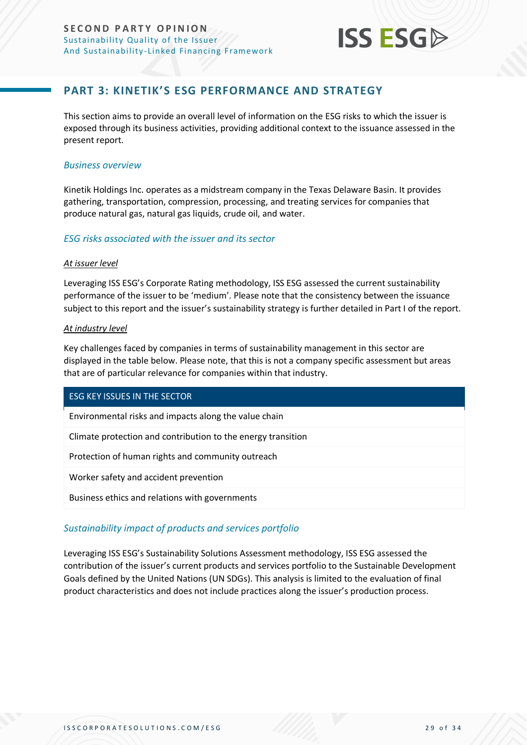

### **PART 3: KINETIK'S ESG PERFORMANCE AND STRATEGY**

<span id="page-28-0"></span>This section aims to provide an overall level of information on the ESG risks to which the issuer is exposed through its business activities, providing additional context to the issuance assessed in the present report.

### *Business overview*

Kinetik Holdings Inc. operates as a midstream company in the Texas Delaware Basin. It provides gathering, transportation, compression, processing, and treating services for companies that produce natural gas, natural gas liquids, crude oil, and water.

### *ESG risks associated with the issuer and its sector*

#### *At issuer level*

Leveraging ISS ESG's Corporate Rating methodology, ISS ESG assessed the current sustainability performance of the issuer to be 'medium'. Please note that the consistency between the issuance subject to this report and the issuer's sustainability strategy is further detailed in Part I of the report.

### *At industry level*

Key challenges faced by companies in terms of sustainability management in this sector are displayed in the table below. Please note, that this is not a company specific assessment but areas that are of particular relevance for companies within that industry.

### ESG KEY ISSUES IN THE SECTOR

Environmental risks and impacts along the value chain

Climate protection and contribution to the energy transition

Protection of human rights and community outreach

Worker safety and accident prevention

Business ethics and relations with governments

### *Sustainability impact of products and services portfolio*

Leveraging ISS ESG's Sustainability Solutions Assessment methodology, ISS ESG assessed the contribution of the issuer's current products and services portfolio to the Sustainable Development Goals defined by the United Nations (UN SDGs). This analysis is limited to the evaluation of final product characteristics and does not include practices along the issuer's production process.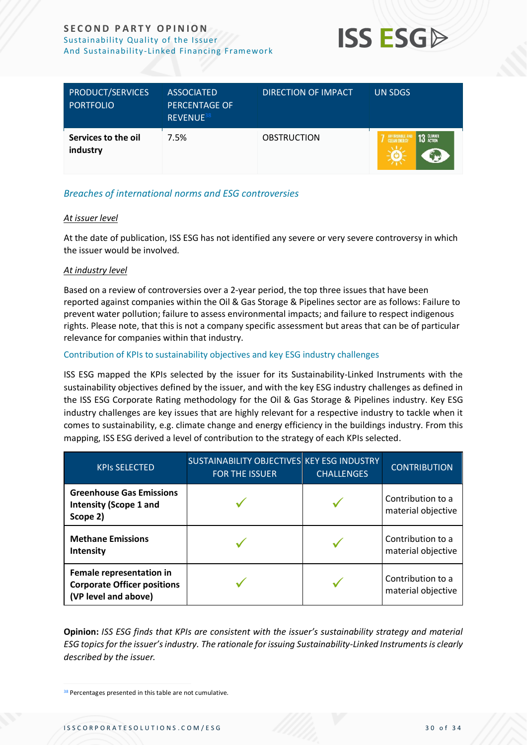

| <b>PRODUCT/SERVICES</b><br><b>PORTFOLIO</b> | <b>ASSOCIATED</b><br><b>PERCENTAGE OF</b><br>REVENUE <sup>38</sup> | DIRECTION OF IMPACT | UN SDGS                  |
|---------------------------------------------|--------------------------------------------------------------------|---------------------|--------------------------|
| Services to the oil<br>industry             | 7.5%                                                               | <b>OBSTRUCTION</b>  | 13 GLIMATE<br>AFFORDABLE |

### *Breaches of international norms and ESG controversies*

### *At issuer level*

At the date of publication, ISS ESG has not identified any severe or very severe controversy in which the issuer would be involved.

### *At industry level*

Based on a review of controversies over a 2-year period, the top three issues that have been reported against companies within the Oil & Gas Storage & Pipelines sector are as follows: Failure to prevent water pollution; failure to assess environmental impacts; and failure to respect indigenous rights. Please note, that this is not a company specific assessment but areas that can be of particular relevance for companies within that industry.

### Contribution of KPIs to sustainability objectives and key ESG industry challenges

ISS ESG mapped the KPIs selected by the issuer for its Sustainability-Linked Instruments with the sustainability objectives defined by the issuer, and with the key ESG industry challenges as defined in the ISS ESG Corporate Rating methodology for the Oil & Gas Storage & Pipelines industry. Key ESG industry challenges are key issues that are highly relevant for a respective industry to tackle when it comes to sustainability, e.g. climate change and energy efficiency in the buildings industry. From this mapping, ISS ESG derived a level of contribution to the strategy of each KPIs selected.

| <b>KPIS SELECTED</b>                                                                   | SUSTAINABILITY OBJECTIVES KEY ESG INDUSTRY<br><b>FOR THE ISSUER</b> | <b>CHALLENGES</b> | <b>CONTRIBUTION</b>                     |
|----------------------------------------------------------------------------------------|---------------------------------------------------------------------|-------------------|-----------------------------------------|
| <b>Greenhouse Gas Emissions</b><br><b>Intensity (Scope 1 and</b><br>Scope 2)           |                                                                     |                   | Contribution to a<br>material objective |
| <b>Methane Emissions</b><br>Intensity                                                  |                                                                     |                   | Contribution to a<br>material objective |
| Female representation in<br><b>Corporate Officer positions</b><br>(VP level and above) |                                                                     |                   | Contribution to a<br>material objective |

**Opinion:** *ISS ESG finds that KPIs are consistent with the issuer's sustainability strategy and material ESG topics for the issuer's industry. The rationale for issuing Sustainability-Linked Instrumentsis clearly described by the issuer.*

<sup>&</sup>lt;sup>38</sup> Percentages presented in this table are not cumulative.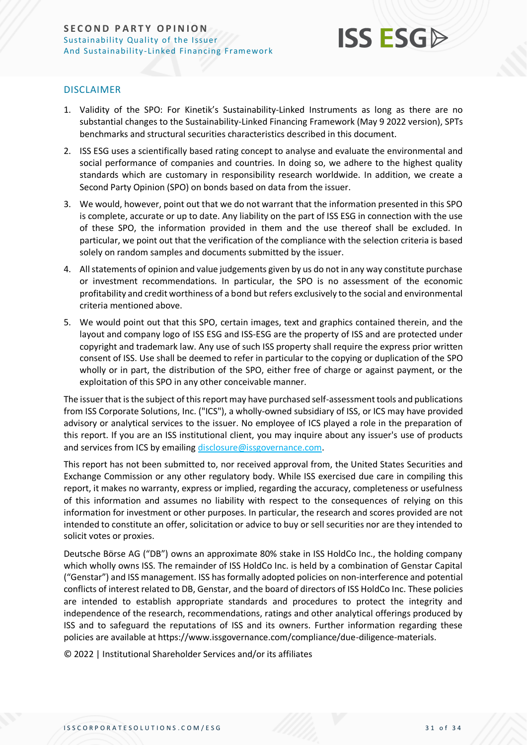

### DISCLAIMER

- 1. Validity of the SPO: For Kinetik's Sustainability-Linked Instruments as long as there are no substantial changes to the Sustainability-Linked Financing Framework (May 9 2022 version), SPTs benchmarks and structural securities characteristics described in this document.
- 2. ISS ESG uses a scientifically based rating concept to analyse and evaluate the environmental and social performance of companies and countries. In doing so, we adhere to the highest quality standards which are customary in responsibility research worldwide. In addition, we create a Second Party Opinion (SPO) on bonds based on data from the issuer.
- 3. We would, however, point out that we do not warrant that the information presented in this SPO is complete, accurate or up to date. Any liability on the part of ISS ESG in connection with the use of these SPO, the information provided in them and the use thereof shall be excluded. In particular, we point out that the verification of the compliance with the selection criteria is based solely on random samples and documents submitted by the issuer.
- 4. All statements of opinion and value judgements given by us do not in any way constitute purchase or investment recommendations. In particular, the SPO is no assessment of the economic profitability and credit worthiness of a bond but refers exclusively to the social and environmental criteria mentioned above.
- 5. We would point out that this SPO, certain images, text and graphics contained therein, and the layout and company logo of ISS ESG and ISS-ESG are the property of ISS and are protected under copyright and trademark law. Any use of such ISS property shall require the express prior written consent of ISS. Use shall be deemed to refer in particular to the copying or duplication of the SPO wholly or in part, the distribution of the SPO, either free of charge or against payment, or the exploitation of this SPO in any other conceivable manner.

The issuer that is the subject of this report may have purchased self-assessment tools and publications from ISS Corporate Solutions, Inc. ("ICS"), a wholly-owned subsidiary of ISS, or ICS may have provided advisory or analytical services to the issuer. No employee of ICS played a role in the preparation of this report. If you are an ISS institutional client, you may inquire about any issuer's use of products and services from ICS by emailin[g disclosure@issgovernance.com.](mailto:disclosure@issgovernance.com)

This report has not been submitted to, nor received approval from, the United States Securities and Exchange Commission or any other regulatory body. While ISS exercised due care in compiling this report, it makes no warranty, express or implied, regarding the accuracy, completeness or usefulness of this information and assumes no liability with respect to the consequences of relying on this information for investment or other purposes. In particular, the research and scores provided are not intended to constitute an offer, solicitation or advice to buy or sell securities nor are they intended to solicit votes or proxies.

Deutsche Börse AG ("DB") owns an approximate 80% stake in ISS HoldCo Inc., the holding company which wholly owns ISS. The remainder of ISS HoldCo Inc. is held by a combination of Genstar Capital ("Genstar") and ISS management. ISS has formally adopted policies on non-interference and potential conflicts of interest related to DB, Genstar, and the board of directors of ISS HoldCo Inc. These policies are intended to establish appropriate standards and procedures to protect the integrity and independence of the research, recommendations, ratings and other analytical offerings produced by ISS and to safeguard the reputations of ISS and its owners. Further information regarding these policies are available at https://www.issgovernance.com/compliance/due-diligence-materials.

© 2022 | Institutional Shareholder Services and/or its affiliates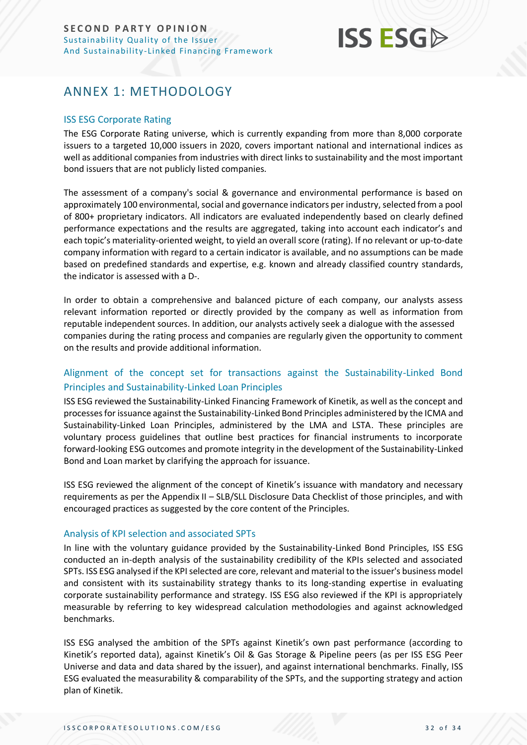

### <span id="page-31-0"></span>ANNEX 1: METHODOLOGY

### ISS ESG Corporate Rating

The ESG Corporate Rating universe, which is currently expanding from more than 8,000 corporate issuers to a targeted 10,000 issuers in 2020, covers important national and international indices as well as additional companies from industries with direct links to sustainability and the most important bond issuers that are not publicly listed companies.

The assessment of a company's social & governance and environmental performance is based on approximately 100 environmental, social and governance indicators per industry, selected from a pool of 800+ proprietary indicators. All indicators are evaluated independently based on clearly defined performance expectations and the results are aggregated, taking into account each indicator's and each topic's materiality-oriented weight, to yield an overall score (rating). If no relevant or up-to-date company information with regard to a certain indicator is available, and no assumptions can be made based on predefined standards and expertise, e.g. known and already classified country standards, the indicator is assessed with a D-.

In order to obtain a comprehensive and balanced picture of each company, our analysts assess relevant information reported or directly provided by the company as well as information from reputable independent sources. In addition, our analysts actively seek a dialogue with the assessed companies during the rating process and companies are regularly given the opportunity to comment on the results and provide additional information.

### Alignment of the concept set for transactions against the Sustainability-Linked Bond Principles and Sustainability-Linked Loan Principles

ISS ESG reviewed the Sustainability-Linked Financing Framework of Kinetik, as well as the concept and processes for issuance against the Sustainability-Linked Bond Principles administered by the ICMA and Sustainability-Linked Loan Principles, administered by the LMA and LSTA. These principles are voluntary process guidelines that outline best practices for financial instruments to incorporate forward-looking ESG outcomes and promote integrity in the development of the Sustainability-Linked Bond and Loan market by clarifying the approach for issuance.

ISS ESG reviewed the alignment of the concept of Kinetik's issuance with mandatory and necessary requirements as per the Appendix II – SLB/SLL Disclosure Data Checklist of those principles, and with encouraged practices as suggested by the core content of the Principles.

### Analysis of KPI selection and associated SPTs

In line with the voluntary guidance provided by the Sustainability-Linked Bond Principles, ISS ESG conducted an in-depth analysis of the sustainability credibility of the KPIs selected and associated SPTs. ISS ESG analysed if the KPI selected are core, relevant and material to the issuer's business model and consistent with its sustainability strategy thanks to its long-standing expertise in evaluating corporate sustainability performance and strategy. ISS ESG also reviewed if the KPI is appropriately measurable by referring to key widespread calculation methodologies and against acknowledged benchmarks.

ISS ESG analysed the ambition of the SPTs against Kinetik's own past performance (according to Kinetik's reported data), against Kinetik's Oil & Gas Storage & Pipeline peers (as per ISS ESG Peer Universe and data and data shared by the issuer), and against international benchmarks. Finally, ISS ESG evaluated the measurability & comparability of the SPTs, and the supporting strategy and action plan of Kinetik.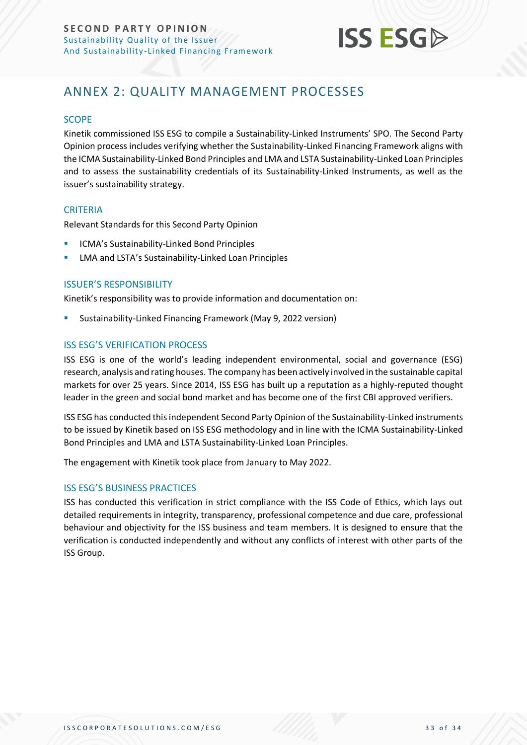

### <span id="page-32-0"></span>ANNEX 2: QUALITY MANAGEMENT PROCESSES

### **SCOPE**

Kinetik commissioned ISS ESG to compile a Sustainability-Linked Instruments' SPO. The Second Party Opinion process includes verifying whether the Sustainability-Linked Financing Framework aligns with the ICMA Sustainability-Linked Bond Principles and LMA and LSTA Sustainability-Linked Loan Principles and to assess the sustainability credentials of its Sustainability-Linked Instruments, as well as the issuer's sustainability strategy.

### **CRITERIA**

Relevant Standards for this Second Party Opinion

- **E** ICMA's Sustainability-Linked Bond Principles
- LMA and LSTA's Sustainability-Linked Loan Principles

### ISSUER'S RESPONSIBILITY

Kinetik's responsibility was to provide information and documentation on:

Sustainability-Linked Financing Framework (May 9, 2022 version)

### ISS ESG'S VERIFICATION PROCESS

ISS ESG is one of the world's leading independent environmental, social and governance (ESG) research, analysis and rating houses. The company has been actively involved in the sustainable capital markets for over 25 years. Since 2014, ISS ESG has built up a reputation as a highly-reputed thought leader in the green and social bond market and has become one of the first CBI approved verifiers.

ISS ESG has conducted this independent Second Party Opinion of the Sustainability-Linked instruments to be issued by Kinetik based on ISS ESG methodology and in line with the ICMA Sustainability-Linked Bond Principles and LMA and LSTA Sustainability-Linked Loan Principles.

The engagement with Kinetik took place from January to May 2022.

### ISS ESG'S BUSINESS PRACTICES

ISS has conducted this verification in strict compliance with the ISS Code of Ethics, which lays out detailed requirements in integrity, transparency, professional competence and due care, professional behaviour and objectivity for the ISS business and team members. It is designed to ensure that the verification is conducted independently and without any conflicts of interest with other parts of the ISS Group.